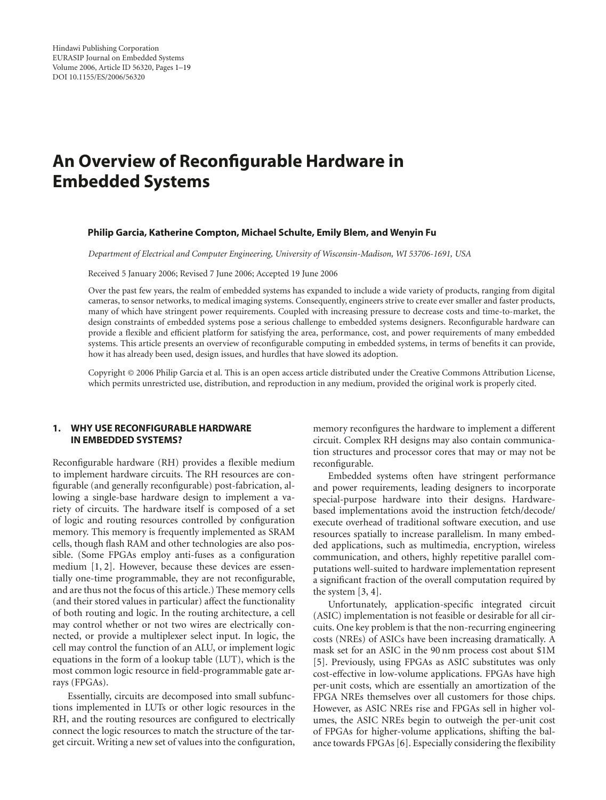# **An Overview of Reconfigurable Hardware in Embedded Systems**

#### **Philip Garcia, Katherine Compton, Michael Schulte, Emily Blem, and Wenyin Fu**

*Department of Electrical and Computer Engineering, University of Wisconsin-Madison, WI 53706-1691, USA*

Received 5 January 2006; Revised 7 June 2006; Accepted 19 June 2006

Over the past few years, the realm of embedded systems has expanded to include a wide variety of products, ranging from digital cameras, to sensor networks, to medical imaging systems. Consequently, engineers strive to create ever smaller and faster products, many of which have stringent power requirements. Coupled with increasing pressure to decrease costs and time-to-market, the design constraints of embedded systems pose a serious challenge to embedded systems designers. Reconfigurable hardware can provide a flexible and efficient platform for satisfying the area, performance, cost, and power requirements of many embedded systems. This article presents an overview of reconfigurable computing in embedded systems, in terms of benefits it can provide, how it has already been used, design issues, and hurdles that have slowed its adoption.

Copyright © 2006 Philip Garcia et al. This is an open access article distributed under the Creative Commons Attribution License, which permits unrestricted use, distribution, and reproduction in any medium, provided the original work is properly cited.

# **1. WHY USE RECONFIGURABLE HARDWARE IN EMBEDDED SYSTEMS?**

Reconfigurable hardware (RH) provides a flexible medium to implement hardware circuits. The RH resources are configurable (and generally reconfigurable) post-fabrication, allowing a single-base hardware design to implement a variety of circuits. The hardware itself is composed of a set of logic and routing resources controlled by configuration memory. This memory is frequently implemented as SRAM cells, though flash RAM and other technologies are also possible. (Some FPGAs employ anti-fuses as a configuration medium [\[1](#page-10-1), [2\]](#page-10-2). However, because these devices are essentially one-time programmable, they are not reconfigurable, and are thus not the focus of this article.) These memory cells (and their stored values in particular) affect the functionality of both routing and logic. In the routing architecture, a cell may control whether or not two wires are electrically connected, or provide a multiplexer select input. In logic, the cell may control the function of an ALU, or implement logic equations in the form of a lookup table (LUT), which is the most common logic resource in field-programmable gate arrays (FPGAs).

Essentially, circuits are decomposed into small subfunctions implemented in LUTs or other logic resources in the RH, and the routing resources are configured to electrically connect the logic resources to match the structure of the target circuit. Writing a new set of values into the configuration,

memory reconfigures the hardware to implement a different circuit. Complex RH designs may also contain communication structures and processor cores that may or may not be reconfigurable.

Embedded systems often have stringent performance and power requirements, leading designers to incorporate special-purpose hardware into their designs. Hardwarebased implementations avoid the instruction fetch/decode/ execute overhead of traditional software execution, and use resources spatially to increase parallelism. In many embedded applications, such as multimedia, encryption, wireless communication, and others, highly repetitive parallel computations well-suited to hardware implementation represent a significant fraction of the overall computation required by the system [\[3,](#page-10-3) [4](#page-10-4)].

Unfortunately, application-specific integrated circuit (ASIC) implementation is not feasible or desirable for all circuits. One key problem is that the non-recurring engineering costs (NREs) of ASICs have been increasing dramatically. A mask set for an ASIC in the 90 nm process cost about \$1M [\[5\]](#page-10-5). Previously, using FPGAs as ASIC substitutes was only cost-effective in low-volume applications. FPGAs have high per-unit costs, which are essentially an amortization of the FPGA NREs themselves over all customers for those chips. However, as ASIC NREs rise and FPGAs sell in higher volumes, the ASIC NREs begin to outweigh the per-unit cost of FPGAs for higher-volume applications, shifting the balance towards FPGAs [\[6](#page-10-6)]. Especially considering the flexibility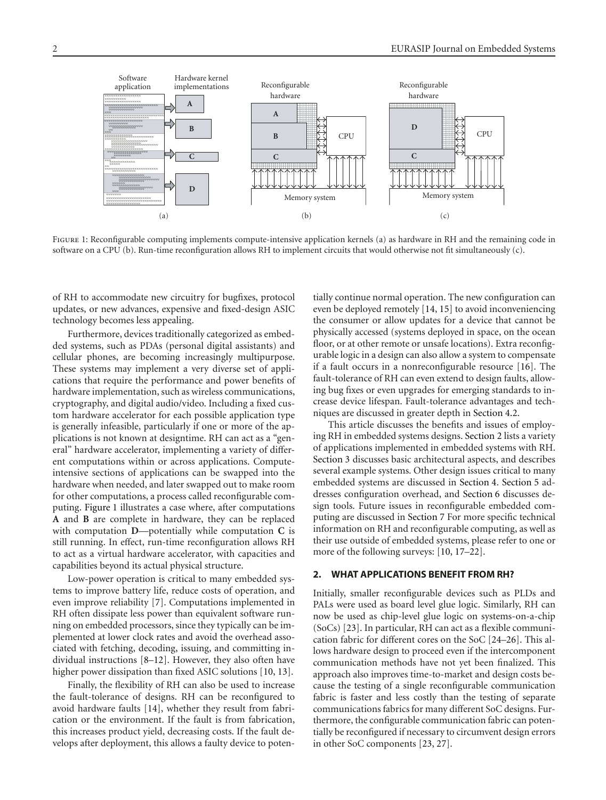WWWWWWWWWWWWW WWWWWWWWWW WWWWWWWWWWWWW WWWWWWWWWWWWWWWWWWWWWWWWW WWWWWWWWWWWWWWWW WWW<sub>W</sub> WWWWWWWWWWWWWWWWWWWWWWWWWWWW WWWWWWWWWWWWWWWWWW WWWWWWWWWWWWWWWWWW<br>WWWWWWWWWWWWWWW<br>WWW WWWW**wwwwwwww** WWWWWWWWWWWWWWWWWWWWWWW WWWWWWWWWW WWWWWWWWWWWWWWWWW WWWWWWWWWWWWWWWWWWWWWW WWWWWWWWWWW WWWWWWWWWWWWWWWWWW WWWWWWWWWWWWWWWWWWW WWWWWWWWWWWWW WWWWWWWW WW WWWWWWWWWWWWWWW WWWWW WW WWWWWWWWWWWWWWWWWWWWWWWWW WWWWWWWWWW WWWWWWWWWWWWWWW WWWWWWWWWWWWWWW WWWWWWWWWWWWWWWWWWW WWWWWWWWWWW<br>WWWWW WWWWWWWWWWWWWWWWWWWWWWWWWWWWWW WWWWWWWWWWW WWWWWW<sub>W</sub> WWWWWWWWWWWWWWWWWWWWW WWWWWWWWWWWWWWWWWWWWWWWWWW WWWWWWWWWWWWWW **A B C D** Software application Hardware kernel implementations (a) **A B C** CPU Reconfigurable hardware Memory system (b) **D C** CPU Reconfigurable hardware Memory system (c)

<span id="page-1-0"></span>FIGURE 1: Reconfigurable computing implements compute-intensive application kernels (a) as hardware in RH and the remaining code in software on a CPU (b). Run-time reconfiguration allows RH to implement circuits that would otherwise not fit simultaneously (c).

of RH to accommodate new circuitry for bugfixes, protocol updates, or new advances, expensive and fixed-design ASIC technology becomes less appealing.

Furthermore, devices traditionally categorized as embedded systems, such as PDAs (personal digital assistants) and cellular phones, are becoming increasingly multipurpose. These systems may implement a very diverse set of applications that require the performance and power benefits of hardware implementation, such as wireless communications, cryptography, and digital audio/video. Including a fixed custom hardware accelerator for each possible application type is generally infeasible, particularly if one or more of the applications is not known at designtime. RH can act as a "general" hardware accelerator, implementing a variety of different computations within or across applications. Computeintensive sections of applications can be swapped into the hardware when needed, and later swapped out to make room for other computations, a process called reconfigurable computing. [Figure 1](#page-1-0) illustrates a case where, after computations **A** and **B** are complete in hardware, they can be replaced with computation **D**—potentially while computation **C** is still running. In effect, run-time reconfiguration allows RH to act as a virtual hardware accelerator, with capacities and capabilities beyond its actual physical structure.

Low-power operation is critical to many embedded systems to improve battery life, reduce costs of operation, and even improve reliability [\[7\]](#page-10-7). Computations implemented in RH often dissipate less power than equivalent software running on embedded processors, since they typically can be implemented at lower clock rates and avoid the overhead associated with fetching, decoding, issuing, and committing individual instructions [\[8](#page-11-0)[–12\]](#page-11-1). However, they also often have higher power dissipation than fixed ASIC solutions [\[10](#page-11-2), [13\]](#page-11-3).

Finally, the flexibility of RH can also be used to increase the fault-tolerance of designs. RH can be reconfigured to avoid hardware faults [\[14\]](#page-11-4), whether they result from fabrication or the environment. If the fault is from fabrication, this increases product yield, decreasing costs. If the fault develops after deployment, this allows a faulty device to potentially continue normal operation. The new configuration can even be deployed remotely [\[14,](#page-11-4) [15\]](#page-11-5) to avoid inconveniencing the consumer or allow updates for a device that cannot be physically accessed (systems deployed in space, on the ocean floor, or at other remote or unsafe locations). Extra reconfigurable logic in a design can also allow a system to compensate if a fault occurs in a nonreconfigurable resource [\[16](#page-11-6)]. The fault-tolerance of RH can even extend to design faults, allowing bug fixes or even upgrades for emerging standards to increase device lifespan. Fault-tolerance advantages and techniques are discussed in greater depth in [Section 4.2.](#page-6-0)

This article discusses the benefits and issues of employing RH in embedded systems designs. [Section 2](#page-1-1) lists a variety of applications implemented in embedded systems with RH. [Section 3](#page-3-0) discusses basic architectural aspects, and describes several example systems. Other design issues critical to many embedded systems are discussed in [Section 4.](#page-5-0) [Section 5](#page-8-0) addresses configuration overhead, and [Section 6](#page-9-0) discusses design tools. Future issues in reconfigurable embedded computing are discussed in [Section 7](#page-10-8) For more specific technical information on RH and reconfigurable computing, as well as their use outside of embedded systems, please refer to one or more of the following surveys: [\[10,](#page-11-2) [17](#page-11-7)[–22\]](#page-11-8).

# <span id="page-1-1"></span>**2. WHAT APPLICATIONS BENEFIT FROM RH?**

Initially, smaller reconfigurable devices such as PLDs and PALs were used as board level glue logic. Similarly, RH can now be used as chip-level glue logic on systems-on-a-chip (SoCs) [\[23\]](#page-11-9). In particular, RH can act as a flexible communication fabric for different cores on the SoC [\[24](#page-11-10)[–26](#page-11-11)]. This allows hardware design to proceed even if the intercomponent communication methods have not yet been finalized. This approach also improves time-to-market and design costs because the testing of a single reconfigurable communication fabric is faster and less costly than the testing of separate communications fabrics for many different SoC designs. Furthermore, the configurable communication fabric can potentially be reconfigured if necessary to circumvent design errors in other SoC components [\[23,](#page-11-9) [27](#page-11-12)].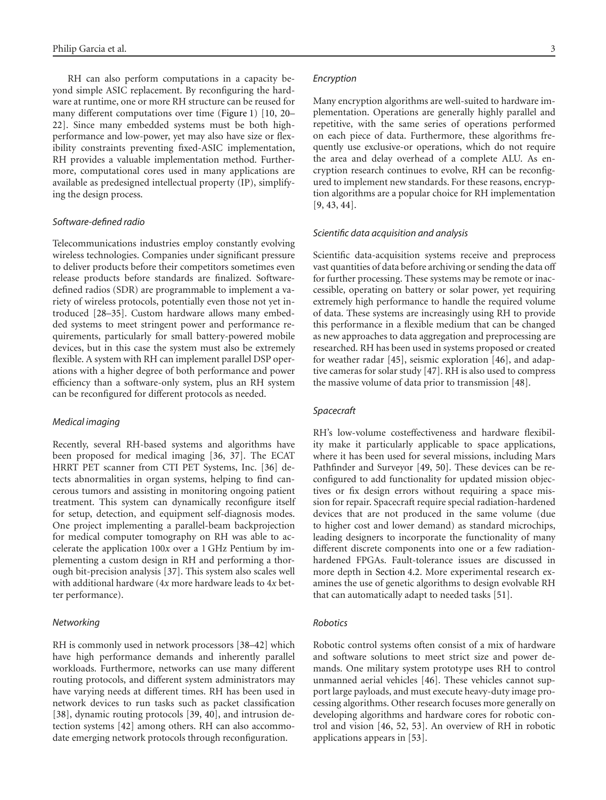RH can also perform computations in a capacity beyond simple ASIC replacement. By reconfiguring the hardware at runtime, one or more RH structure can be reused for many different computations over time [\(Figure 1\)](#page-1-0) [\[10,](#page-11-2) [20](#page-11-13)– [22\]](#page-11-8). Since many embedded systems must be both highperformance and low-power, yet may also have size or flexibility constraints preventing fixed-ASIC implementation, RH provides a valuable implementation method. Furthermore, computational cores used in many applications are available as predesigned intellectual property (IP), simplifying the design process.

# *Software-defined radio*

Telecommunications industries employ constantly evolving wireless technologies. Companies under significant pressure to deliver products before their competitors sometimes even release products before standards are finalized. Softwaredefined radios (SDR) are programmable to implement a variety of wireless protocols, potentially even those not yet introduced [\[28](#page-11-14)[–35\]](#page-11-15). Custom hardware allows many embedded systems to meet stringent power and performance requirements, particularly for small battery-powered mobile devices, but in this case the system must also be extremely flexible. A system with RH can implement parallel DSP operations with a higher degree of both performance and power efficiency than a software-only system, plus an RH system can be reconfigured for different protocols as needed.

## *Medical imaging*

Recently, several RH-based systems and algorithms have been proposed for medical imaging [\[36,](#page-11-16) [37](#page-11-17)]. The ECAT HRRT PET scanner from CTI PET Systems, Inc. [\[36\]](#page-11-16) detects abnormalities in organ systems, helping to find cancerous tumors and assisting in monitoring ongoing patient treatment. This system can dynamically reconfigure itself for setup, detection, and equipment self-diagnosis modes. One project implementing a parallel-beam backprojection for medical computer tomography on RH was able to accelerate the application 100*x* over a 1 GHz Pentium by implementing a custom design in RH and performing a thorough bit-precision analysis [\[37](#page-11-17)]. This system also scales well with additional hardware (4*x* more hardware leads to 4*x* better performance).

#### *Networking*

RH is commonly used in network processors [\[38](#page-12-0)[–42\]](#page-12-1) which have high performance demands and inherently parallel workloads. Furthermore, networks can use many different routing protocols, and different system administrators may have varying needs at different times. RH has been used in network devices to run tasks such as packet classification [\[38](#page-12-0)], dynamic routing protocols [\[39,](#page-12-2) [40](#page-12-3)], and intrusion detection systems [\[42](#page-12-1)] among others. RH can also accommodate emerging network protocols through reconfiguration.

#### *Encryption*

Many encryption algorithms are well-suited to hardware implementation. Operations are generally highly parallel and repetitive, with the same series of operations performed on each piece of data. Furthermore, these algorithms frequently use exclusive-or operations, which do not require the area and delay overhead of a complete ALU. As encryption research continues to evolve, RH can be reconfigured to implement new standards. For these reasons, encryption algorithms are a popular choice for RH implementation [\[9,](#page-11-18) [43,](#page-12-4) [44](#page-12-5)].

## *Scientific data acquisition and analysis*

Scientific data-acquisition systems receive and preprocess vast quantities of data before archiving or sending the data off for further processing. These systems may be remote or inaccessible, operating on battery or solar power, yet requiring extremely high performance to handle the required volume of data. These systems are increasingly using RH to provide this performance in a flexible medium that can be changed as new approaches to data aggregation and preprocessing are researched. RH has been used in systems proposed or created for weather radar [\[45\]](#page-12-6), seismic exploration [\[46](#page-12-7)], and adaptive cameras for solar study [\[47\]](#page-12-8). RH is also used to compress the massive volume of data prior to transmission [\[48\]](#page-12-9).

## *Spacecraft*

RH's low-volume costeffectiveness and hardware flexibility make it particularly applicable to space applications, where it has been used for several missions, including Mars Pathfinder and Surveyor [\[49,](#page-12-10) [50](#page-12-11)]. These devices can be reconfigured to add functionality for updated mission objectives or fix design errors without requiring a space mission for repair. Spacecraft require special radiation-hardened devices that are not produced in the same volume (due to higher cost and lower demand) as standard microchips, leading designers to incorporate the functionality of many different discrete components into one or a few radiationhardened FPGAs. Fault-tolerance issues are discussed in more depth in [Section 4.2.](#page-6-0) More experimental research examines the use of genetic algorithms to design evolvable RH that can automatically adapt to needed tasks [\[51\]](#page-12-12).

# *Robotics*

Robotic control systems often consist of a mix of hardware and software solutions to meet strict size and power demands. One military system prototype uses RH to control unmanned aerial vehicles [\[46](#page-12-7)]. These vehicles cannot support large payloads, and must execute heavy-duty image processing algorithms. Other research focuses more generally on developing algorithms and hardware cores for robotic control and vision [\[46,](#page-12-7) [52](#page-12-13), [53\]](#page-12-14). An overview of RH in robotic applications appears in [\[53](#page-12-14)].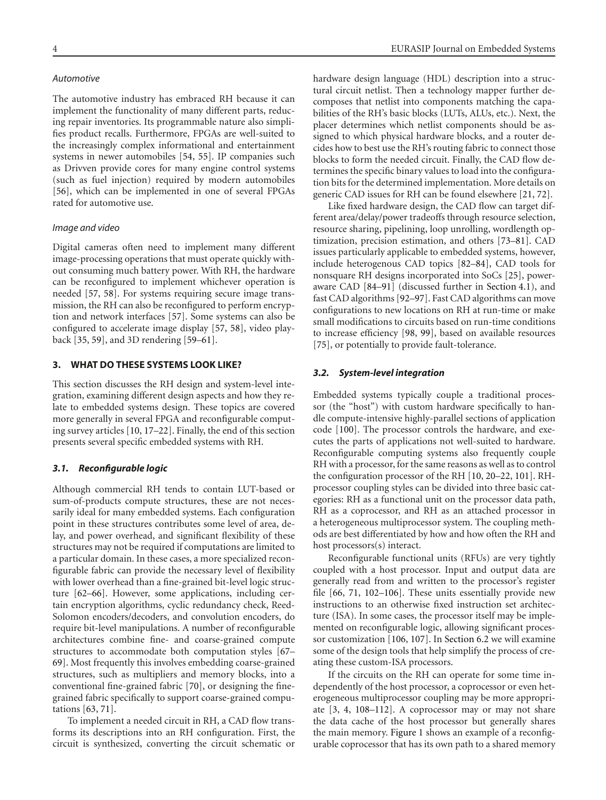## *Automotive*

The automotive industry has embraced RH because it can implement the functionality of many different parts, reducing repair inventories. Its programmable nature also simplifies product recalls. Furthermore, FPGAs are well-suited to the increasingly complex informational and entertainment systems in newer automobiles [\[54,](#page-12-15) [55\]](#page-12-16). IP companies such as Drivven provide cores for many engine control systems (such as fuel injection) required by modern automobiles [\[56](#page-12-17)], which can be implemented in one of several FPGAs rated for automotive use.

# *Image and video*

Digital cameras often need to implement many different image-processing operations that must operate quickly without consuming much battery power. With RH, the hardware can be reconfigured to implement whichever operation is needed [\[57](#page-12-18), [58](#page-12-19)]. For systems requiring secure image transmission, the RH can also be reconfigured to perform encryption and network interfaces [\[57\]](#page-12-18). Some systems can also be configured to accelerate image display [\[57,](#page-12-18) [58\]](#page-12-19), video playback [\[35](#page-11-15), [59](#page-12-20)], and 3D rendering [\[59](#page-12-20)[–61](#page-12-21)].

# <span id="page-3-0"></span>**3. WHAT DO THESE SYSTEMS LOOK LIKE?**

This section discusses the RH design and system-level integration, examining different design aspects and how they relate to embedded systems design. These topics are covered more generally in several FPGA and reconfigurable computing survey articles [\[10](#page-11-2), [17](#page-11-7)[–22\]](#page-11-8). Finally, the end of this section presents several specific embedded systems with RH.

## *3.1. Reconfigurable logic*

Although commercial RH tends to contain LUT-based or sum-of-products compute structures, these are not necessarily ideal for many embedded systems. Each configuration point in these structures contributes some level of area, delay, and power overhead, and significant flexibility of these structures may not be required if computations are limited to a particular domain. In these cases, a more specialized reconfigurable fabric can provide the necessary level of flexibility with lower overhead than a fine-grained bit-level logic structure [\[62](#page-12-22)[–66\]](#page-12-23). However, some applications, including certain encryption algorithms, cyclic redundancy check, Reed-Solomon encoders/decoders, and convolution encoders, do require bit-level manipulations. A number of reconfigurable architectures combine fine- and coarse-grained compute structures to accommodate both computation styles [\[67](#page-13-0)– [69\]](#page-13-1). Most frequently this involves embedding coarse-grained structures, such as multipliers and memory blocks, into a conventional fine-grained fabric [\[70\]](#page-13-2), or designing the finegrained fabric specifically to support coarse-grained computations [\[63,](#page-12-24) [71](#page-13-3)].

To implement a needed circuit in RH, a CAD flow transforms its descriptions into an RH configuration. First, the circuit is synthesized, converting the circuit schematic or

hardware design language (HDL) description into a structural circuit netlist. Then a technology mapper further decomposes that netlist into components matching the capabilities of the RH's basic blocks (LUTs, ALUs, etc.). Next, the placer determines which netlist components should be assigned to which physical hardware blocks, and a router decides how to best use the RH's routing fabric to connect those blocks to form the needed circuit. Finally, the CAD flow determines the specific binary values to load into the configuration bits for the determined implementation. More details on generic CAD issues for RH can be found elsewhere [\[21](#page-11-19), [72](#page-13-4)].

Like fixed hardware design, the CAD flow can target different area/delay/power tradeoffs through resource selection, resource sharing, pipelining, loop unrolling, wordlength optimization, precision estimation, and others [\[73](#page-13-5)[–81](#page-13-6)]. CAD issues particularly applicable to embedded systems, however, include heterogenous CAD topics [\[82](#page-13-7)[–84\]](#page-13-8), CAD tools for nonsquare RH designs incorporated into SoCs [\[25](#page-11-20)], poweraware CAD [\[84](#page-13-8)[–91\]](#page-13-9) (discussed further in [Section 4.1\)](#page-5-1), and fast CAD algorithms [\[92](#page-13-10)[–97](#page-14-0)]. Fast CAD algorithms can move configurations to new locations on RH at run-time or make small modifications to circuits based on run-time conditions to increase efficiency [\[98,](#page-14-1) [99](#page-14-2)], based on available resources [\[75](#page-13-11)], or potentially to provide fault-tolerance.

## *3.2. System-level integration*

Embedded systems typically couple a traditional processor (the "host") with custom hardware specifically to handle compute-intensive highly-parallel sections of application code [\[100](#page-14-3)]. The processor controls the hardware, and executes the parts of applications not well-suited to hardware. Reconfigurable computing systems also frequently couple RH with a processor, for the same reasons as well as to control the configuration processor of the RH [\[10,](#page-11-2) [20](#page-11-13)[–22](#page-11-8), [101](#page-14-4)]. RHprocessor coupling styles can be divided into three basic categories: RH as a functional unit on the processor data path, RH as a coprocessor, and RH as an attached processor in a heterogeneous multiprocessor system. The coupling methods are best differentiated by how and how often the RH and host processors(s) interact.

Reconfigurable functional units (RFUs) are very tightly coupled with a host processor. Input and output data are generally read from and written to the processor's register file [\[66](#page-12-23), [71,](#page-13-3) [102](#page-14-5)[–106\]](#page-14-6). These units essentially provide new instructions to an otherwise fixed instruction set architecture (ISA). In some cases, the processor itself may be implemented on reconfigurable logic, allowing significant processor customization [\[106,](#page-14-6) [107\]](#page-14-7). In [Section 6.2](#page-9-1) we will examine some of the design tools that help simplify the process of creating these custom-ISA processors.

If the circuits on the RH can operate for some time independently of the host processor, a coprocessor or even heterogeneous multiprocessor coupling may be more appropriate [\[3](#page-10-3), [4](#page-10-4), [108](#page-14-8)[–112](#page-14-9)]. A coprocessor may or may not share the data cache of the host processor but generally shares the main memory. [Figure 1](#page-1-0) shows an example of a reconfigurable coprocessor that has its own path to a shared memory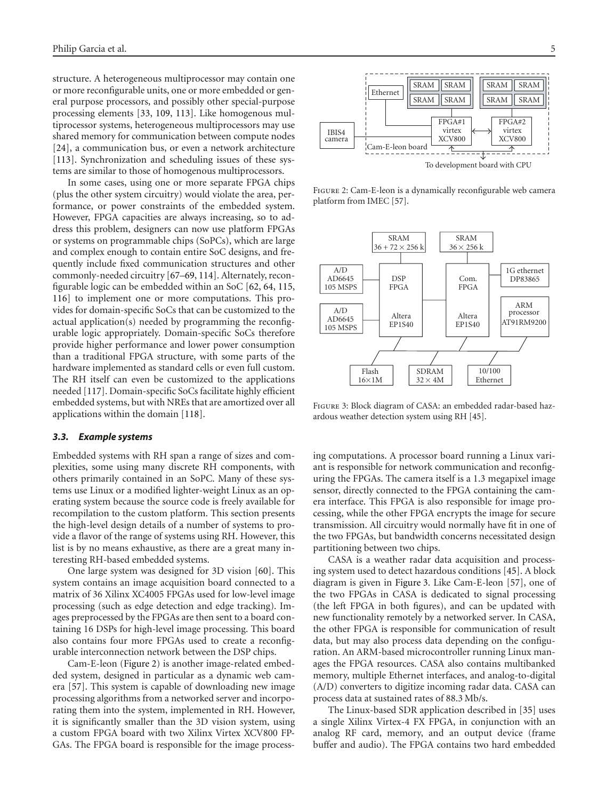structure. A heterogeneous multiprocessor may contain one or more reconfigurable units, one or more embedded or general purpose processors, and possibly other special-purpose processing elements [\[33,](#page-11-21) [109](#page-14-10), [113](#page-14-11)]. Like homogenous multiprocessor systems, heterogeneous multiprocessors may use shared memory for communication between compute nodes [\[24](#page-11-10)], a communication bus, or even a network architecture [\[113](#page-14-11)]. Synchronization and scheduling issues of these systems are similar to those of homogenous multiprocessors.

In some cases, using one or more separate FPGA chips (plus the other system circuitry) would violate the area, performance, or power constraints of the embedded system. However, FPGA capacities are always increasing, so to address this problem, designers can now use platform FPGAs or systems on programmable chips (SoPCs), which are large and complex enough to contain entire SoC designs, and frequently include fixed communication structures and other commonly-needed circuitry [\[67](#page-13-0)[–69,](#page-13-1) [114](#page-14-12)]. Alternately, reconfigurable logic can be embedded within an SoC [\[62](#page-12-22), [64,](#page-12-25) [115,](#page-14-13) [116](#page-14-14)] to implement one or more computations. This provides for domain-specific SoCs that can be customized to the actual application(s) needed by programming the reconfigurable logic appropriately. Domain-specific SoCs therefore provide higher performance and lower power consumption than a traditional FPGA structure, with some parts of the hardware implemented as standard cells or even full custom. The RH itself can even be customized to the applications needed [\[117](#page-14-15)]. Domain-specific SoCs facilitate highly efficient embedded systems, but with NREs that are amortized over all applications within the domain [\[118](#page-14-16)].

#### *3.3. Example systems*

Embedded systems with RH span a range of sizes and complexities, some using many discrete RH components, with others primarily contained in an SoPC. Many of these systems use Linux or a modified lighter-weight Linux as an operating system because the source code is freely available for recompilation to the custom platform. This section presents the high-level design details of a number of systems to provide a flavor of the range of systems using RH. However, this list is by no means exhaustive, as there are a great many interesting RH-based embedded systems.

One large system was designed for 3D vision [\[60](#page-12-26)]. This system contains an image acquisition board connected to a matrix of 36 Xilinx XC4005 FPGAs used for low-level image processing (such as edge detection and edge tracking). Images preprocessed by the FPGAs are then sent to a board containing 16 DSPs for high-level image processing. This board also contains four more FPGAs used to create a reconfigurable interconnection network between the DSP chips.

Cam-E-leon [\(Figure 2\)](#page-4-0) is another image-related embedded system, designed in particular as a dynamic web camera [\[57\]](#page-12-18). This system is capable of downloading new image processing algorithms from a networked server and incorporating them into the system, implemented in RH. However, it is significantly smaller than the 3D vision system, using a custom FPGA board with two Xilinx Virtex XCV800 FP-GAs. The FPGA board is responsible for the image process-



<span id="page-4-0"></span>FIGURE 2: Cam-E-leon is a dynamically reconfigurable web camera platform from IMEC [\[57\]](#page-12-18).



<span id="page-4-1"></span>Figure 3: Block diagram of CASA: an embedded radar-based hazardous weather detection system using RH [\[45\]](#page-12-6).

ing computations. A processor board running a Linux variant is responsible for network communication and reconfiguring the FPGAs. The camera itself is a 1.3 megapixel image sensor, directly connected to the FPGA containing the camera interface. This FPGA is also responsible for image processing, while the other FPGA encrypts the image for secure transmission. All circuitry would normally have fit in one of the two FPGAs, but bandwidth concerns necessitated design partitioning between two chips.

CASA is a weather radar data acquisition and processing system used to detect hazardous conditions [\[45\]](#page-12-6). A block diagram is given in [Figure 3.](#page-4-1) Like Cam-E-leon [\[57](#page-12-18)], one of the two FPGAs in CASA is dedicated to signal processing (the left FPGA in both figures), and can be updated with new functionality remotely by a networked server. In CASA, the other FPGA is responsible for communication of result data, but may also process data depending on the configuration. An ARM-based microcontroller running Linux manages the FPGA resources. CASA also contains multibanked memory, multiple Ethernet interfaces, and analog-to-digital (A/D) converters to digitize incoming radar data. CASA can process data at sustained rates of 88.3 Mb/s.

The Linux-based SDR application described in [\[35](#page-11-15)] uses a single Xilinx Virtex-4 FX FPGA, in conjunction with an analog RF card, memory, and an output device (frame buffer and audio). The FPGA contains two hard embedded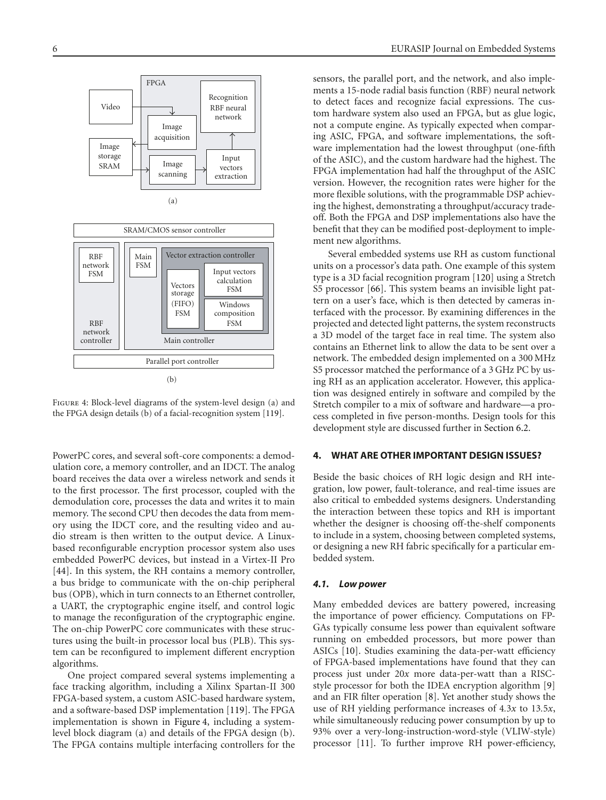

<span id="page-5-2"></span>Figure 4: Block-level diagrams of the system-level design (a) and the FPGA design details (b) of a facial-recognition system [\[119](#page-14-17)].

PowerPC cores, and several soft-core components: a demodulation core, a memory controller, and an IDCT. The analog board receives the data over a wireless network and sends it to the first processor. The first processor, coupled with the demodulation core, processes the data and writes it to main memory. The second CPU then decodes the data from memory using the IDCT core, and the resulting video and audio stream is then written to the output device. A Linuxbased reconfigurable encryption processor system also uses embedded PowerPC devices, but instead in a Virtex-II Pro [\[44](#page-12-5)]. In this system, the RH contains a memory controller, a bus bridge to communicate with the on-chip peripheral bus (OPB), which in turn connects to an Ethernet controller, a UART, the cryptographic engine itself, and control logic to manage the reconfiguration of the cryptographic engine. The on-chip PowerPC core communicates with these structures using the built-in processor local bus (PLB). This system can be reconfigured to implement different encryption algorithms.

One project compared several systems implementing a face tracking algorithm, including a Xilinx Spartan-II 300 FPGA-based system, a custom ASIC-based hardware system, and a software-based DSP implementation [\[119](#page-14-17)]. The FPGA implementation is shown in [Figure 4,](#page-5-2) including a systemlevel block diagram (a) and details of the FPGA design (b). The FPGA contains multiple interfacing controllers for the sensors, the parallel port, and the network, and also implements a 15-node radial basis function (RBF) neural network to detect faces and recognize facial expressions. The custom hardware system also used an FPGA, but as glue logic, not a compute engine. As typically expected when comparing ASIC, FPGA, and software implementations, the software implementation had the lowest throughput (one-fifth of the ASIC), and the custom hardware had the highest. The FPGA implementation had half the throughput of the ASIC version. However, the recognition rates were higher for the more flexible solutions, with the programmable DSP achieving the highest, demonstrating a throughput/accuracy tradeoff. Both the FPGA and DSP implementations also have the benefit that they can be modified post-deployment to implement new algorithms.

Several embedded systems use RH as custom functional units on a processor's data path. One example of this system type is a 3D facial recognition program [\[120\]](#page-14-18) using a Stretch S5 processor [\[66\]](#page-12-23). This system beams an invisible light pattern on a user's face, which is then detected by cameras interfaced with the processor. By examining differences in the projected and detected light patterns, the system reconstructs a 3D model of the target face in real time. The system also contains an Ethernet link to allow the data to be sent over a network. The embedded design implemented on a 300 MHz S5 processor matched the performance of a 3 GHz PC by using RH as an application accelerator. However, this application was designed entirely in software and compiled by the Stretch compiler to a mix of software and hardware—a process completed in five person-months. Design tools for this development style are discussed further in [Section 6.2.](#page-9-1)

### <span id="page-5-0"></span>**4. WHAT ARE OTHER IMPORTANT DESIGN ISSUES?**

Beside the basic choices of RH logic design and RH integration, low power, fault-tolerance, and real-time issues are also critical to embedded systems designers. Understanding the interaction between these topics and RH is important whether the designer is choosing off-the-shelf components to include in a system, choosing between completed systems, or designing a new RH fabric specifically for a particular embedded system.

# <span id="page-5-1"></span>*4.1. Low power*

Many embedded devices are battery powered, increasing the importance of power efficiency. Computations on FP-GAs typically consume less power than equivalent software running on embedded processors, but more power than ASICs [\[10](#page-11-2)]. Studies examining the data-per-watt efficiency of FPGA-based implementations have found that they can process just under 20*x* more data-per-watt than a RISCstyle processor for both the IDEA encryption algorithm [\[9\]](#page-11-18) and an FIR filter operation [\[8](#page-11-0)]. Yet another study shows the use of RH yielding performance increases of 4*.*3*x* to 13*.*5*x*, while simultaneously reducing power consumption by up to 93% over a very-long-instruction-word-style (VLIW-style) processor [\[11](#page-11-22)]. To further improve RH power-efficiency,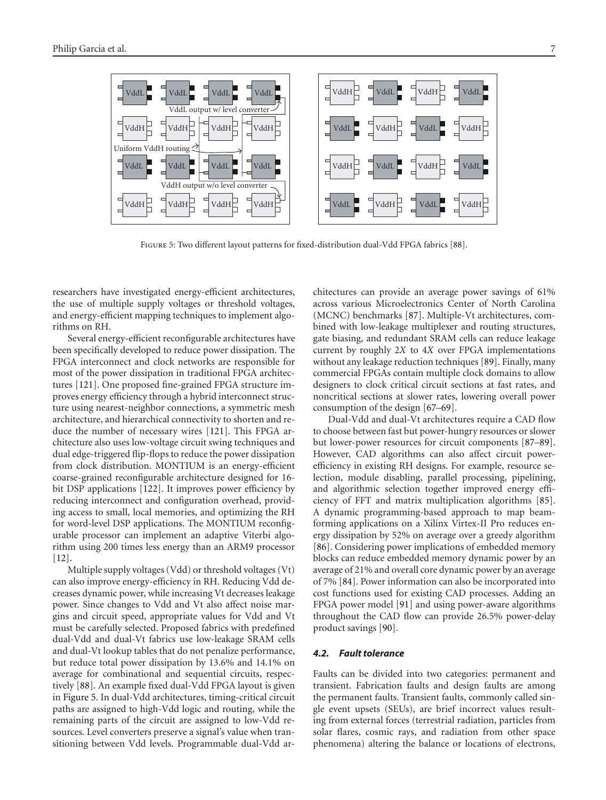

<span id="page-6-1"></span>Figure 5: Two different layout patterns for fixed-distribution dual-Vdd FPGA fabrics [\[88\]](#page-13-12).

researchers have investigated energy-efficient architectures, the use of multiple supply voltages or threshold voltages, and energy-efficient mapping techniques to implement algorithms on RH.

Several energy-efficient reconfigurable architectures have been specifically developed to reduce power dissipation. The FPGA interconnect and clock networks are responsible for most of the power dissipation in traditional FPGA architectures [\[121](#page-14-19)]. One proposed fine-grained FPGA structure improves energy efficiency through a hybrid interconnect structure using nearest-neighbor connections, a symmetric mesh architecture, and hierarchical connectivity to shorten and reduce the number of necessary wires [\[121](#page-14-19)]. This FPGA architecture also uses low-voltage circuit swing techniques and dual edge-triggered flip-flops to reduce the power dissipation from clock distribution. MONTIUM is an energy-efficient coarse-grained reconfigurable architecture designed for 16 bit DSP applications [\[122](#page-14-20)]. It improves power efficiency by reducing interconnect and configuration overhead, providing access to small, local memories, and optimizing the RH for word-level DSP applications. The MONTIUM reconfigurable processor can implement an adaptive Viterbi algorithm using 200 times less energy than an ARM9 processor [\[12](#page-11-1)].

Multiple supply voltages (Vdd) or threshold voltages (Vt) can also improve energy-efficiency in RH. Reducing Vdd decreases dynamic power, while increasing Vt decreases leakage power. Since changes to Vdd and Vt also affect noise margins and circuit speed, appropriate values for Vdd and Vt must be carefully selected. Proposed fabrics with predefined dual-Vdd and dual-Vt fabrics use low-leakage SRAM cells and dual-Vt lookup tables that do not penalize performance, but reduce total power dissipation by 13.6% and 14.1% on average for combinational and sequential circuits, respectively [\[88\]](#page-13-12). An example fixed dual-Vdd FPGA layout is given in [Figure 5.](#page-6-1) In dual-Vdd architectures, timing-critical circuit paths are assigned to high-Vdd logic and routing, while the remaining parts of the circuit are assigned to low-Vdd resources. Level converters preserve a signal's value when transitioning between Vdd levels. Programmable dual-Vdd architectures can provide an average power savings of 61% across various Microelectronics Center of North Carolina (MCNC) benchmarks [\[87](#page-13-13)]. Multiple-Vt architectures, combined with low-leakage multiplexer and routing structures, gate biasing, and redundant SRAM cells can reduce leakage current by roughly 2*X* to 4*X* over FPGA implementations without any leakage reduction techniques [\[89](#page-13-14)]. Finally, many commercial FPGAs contain multiple clock domains to allow designers to clock critical circuit sections at fast rates, and noncritical sections at slower rates, lowering overall power consumption of the design [\[67](#page-13-0)[–69\]](#page-13-1).

Dual-Vdd and dual-Vt architectures require a CAD flow to choose between fast but power-hungry resources or slower but lower-power resources for circuit components [\[87](#page-13-13)[–89](#page-13-14)]. However, CAD algorithms can also affect circuit powerefficiency in existing RH designs. For example, resource selection, module disabling, parallel processing, pipelining, and algorithmic selection together improved energy efficiency of FFT and matrix multiplication algorithms [\[85](#page-13-15)]. A dynamic programming-based approach to map beamforming applications on a Xilinx Virtex-II Pro reduces energy dissipation by 52% on average over a greedy algorithm [\[86](#page-13-16)]. Considering power implications of embedded memory blocks can reduce embedded memory dynamic power by an average of 21% and overall core dynamic power by an average of 7% [\[84\]](#page-13-8). Power information can also be incorporated into cost functions used for existing CAD processes. Adding an FPGA power model [\[91](#page-13-9)] and using power-aware algorithms throughout the CAD flow can provide 26.5% power-delay product savings [\[90](#page-13-17)].

#### <span id="page-6-0"></span>*4.2. Fault tolerance*

Faults can be divided into two categories: permanent and transient. Fabrication faults and design faults are among the permanent faults. Transient faults, commonly called single event upsets (SEUs), are brief incorrect values resulting from external forces (terrestrial radiation, particles from solar flares, cosmic rays, and radiation from other space phenomena) altering the balance or locations of electrons,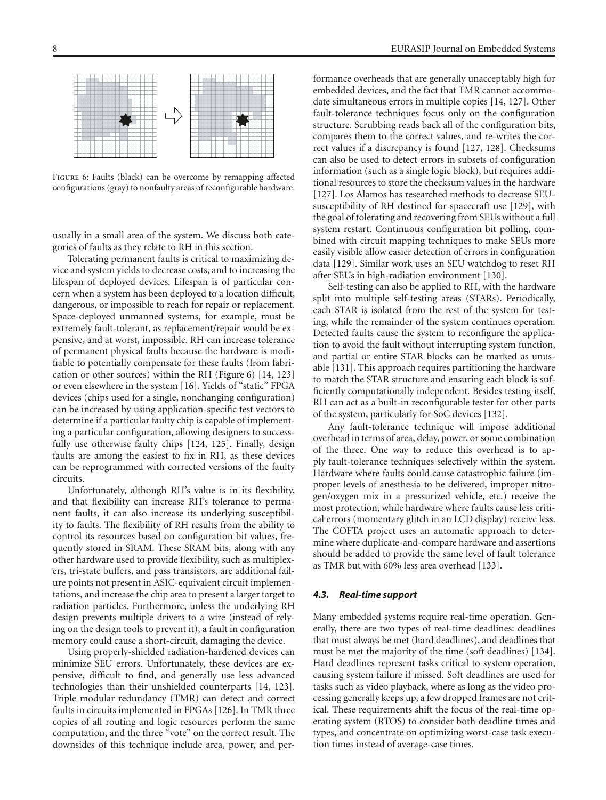

<span id="page-7-0"></span>FIGURE 6: Faults (black) can be overcome by remapping affected configurations (gray) to nonfaulty areas of reconfigurable hardware.

usually in a small area of the system. We discuss both categories of faults as they relate to RH in this section.

Tolerating permanent faults is critical to maximizing device and system yields to decrease costs, and to increasing the lifespan of deployed devices. Lifespan is of particular concern when a system has been deployed to a location difficult, dangerous, or impossible to reach for repair or replacement. Space-deployed unmanned systems, for example, must be extremely fault-tolerant, as replacement/repair would be expensive, and at worst, impossible. RH can increase tolerance of permanent physical faults because the hardware is modifiable to potentially compensate for these faults (from fabrication or other sources) within the RH [\(Figure 6\)](#page-7-0) [\[14,](#page-11-4) [123](#page-14-21)] or even elsewhere in the system [\[16\]](#page-11-6). Yields of "static" FPGA devices (chips used for a single, nonchanging configuration) can be increased by using application-specific test vectors to determine if a particular faulty chip is capable of implementing a particular configuration, allowing designers to successfully use otherwise faulty chips [\[124](#page-14-22), [125\]](#page-14-23). Finally, design faults are among the easiest to fix in RH, as these devices can be reprogrammed with corrected versions of the faulty circuits.

Unfortunately, although RH's value is in its flexibility, and that flexibility can increase RH's tolerance to permanent faults, it can also increase its underlying susceptibility to faults. The flexibility of RH results from the ability to control its resources based on configuration bit values, frequently stored in SRAM. These SRAM bits, along with any other hardware used to provide flexibility, such as multiplexers, tri-state buffers, and pass transistors, are additional failure points not present in ASIC-equivalent circuit implementations, and increase the chip area to present a larger target to radiation particles. Furthermore, unless the underlying RH design prevents multiple drivers to a wire (instead of relying on the design tools to prevent it), a fault in configuration memory could cause a short-circuit, damaging the device.

Using properly-shielded radiation-hardened devices can minimize SEU errors. Unfortunately, these devices are expensive, difficult to find, and generally use less advanced technologies than their unshielded counterparts [\[14,](#page-11-4) [123](#page-14-21)]. Triple modular redundancy (TMR) can detect and correct faults in circuits implemented in FPGAs [\[126\]](#page-14-24). In TMR three copies of all routing and logic resources perform the same computation, and the three "vote" on the correct result. The downsides of this technique include area, power, and performance overheads that are generally unacceptably high for embedded devices, and the fact that TMR cannot accommodate simultaneous errors in multiple copies [\[14,](#page-11-4) [127\]](#page-15-0). Other fault-tolerance techniques focus only on the configuration structure. Scrubbing reads back all of the configuration bits, compares them to the correct values, and re-writes the correct values if a discrepancy is found [\[127,](#page-15-0) [128](#page-15-1)]. Checksums can also be used to detect errors in subsets of configuration information (such as a single logic block), but requires additional resources to store the checksum values in the hardware [\[127](#page-15-0)]. Los Alamos has researched methods to decrease SEUsusceptibility of RH destined for spacecraft use [\[129\]](#page-15-2), with the goal of tolerating and recovering from SEUs without a full system restart. Continuous configuration bit polling, combined with circuit mapping techniques to make SEUs more easily visible allow easier detection of errors in configuration data [\[129\]](#page-15-2). Similar work uses an SEU watchdog to reset RH after SEUs in high-radiation environment [\[130](#page-15-3)].

Self-testing can also be applied to RH, with the hardware split into multiple self-testing areas (STARs). Periodically, each STAR is isolated from the rest of the system for testing, while the remainder of the system continues operation. Detected faults cause the system to reconfigure the application to avoid the fault without interrupting system function, and partial or entire STAR blocks can be marked as unusable [\[131](#page-15-4)]. This approach requires partitioning the hardware to match the STAR structure and ensuring each block is sufficiently computationally independent. Besides testing itself, RH can act as a built-in reconfigurable tester for other parts of the system, particularly for SoC devices [\[132](#page-15-5)].

Any fault-tolerance technique will impose additional overhead in terms of area, delay, power, or some combination of the three. One way to reduce this overhead is to apply fault-tolerance techniques selectively within the system. Hardware where faults could cause catastrophic failure (improper levels of anesthesia to be delivered, improper nitrogen/oxygen mix in a pressurized vehicle, etc.) receive the most protection, while hardware where faults cause less critical errors (momentary glitch in an LCD display) receive less. The COFTA project uses an automatic approach to determine where duplicate-and-compare hardware and assertions should be added to provide the same level of fault tolerance as TMR but with 60% less area overhead [\[133\]](#page-15-6).

# *4.3. Real-time support*

Many embedded systems require real-time operation. Generally, there are two types of real-time deadlines: deadlines that must always be met (hard deadlines), and deadlines that must be met the majority of the time (soft deadlines) [\[134](#page-15-7)]. Hard deadlines represent tasks critical to system operation, causing system failure if missed. Soft deadlines are used for tasks such as video playback, where as long as the video processing generally keeps up, a few dropped frames are not critical. These requirements shift the focus of the real-time operating system (RTOS) to consider both deadline times and types, and concentrate on optimizing worst-case task execution times instead of average-case times.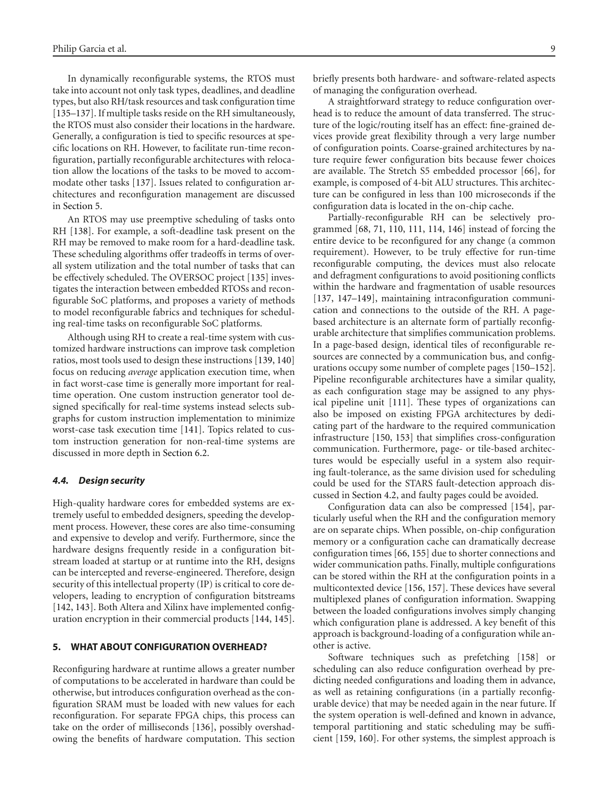In dynamically reconfigurable systems, the RTOS must take into account not only task types, deadlines, and deadline types, but also RH/task resources and task configuration time [\[135](#page-15-8)[–137](#page-15-9)]. If multiple tasks reside on the RH simultaneously, the RTOS must also consider their locations in the hardware. Generally, a configuration is tied to specific resources at specific locations on RH. However, to facilitate run-time reconfiguration, partially reconfigurable architectures with relocation allow the locations of the tasks to be moved to accommodate other tasks [\[137\]](#page-15-9). Issues related to configuration architectures and reconfiguration management are discussed in [Section 5.](#page-8-0)

An RTOS may use preemptive scheduling of tasks onto RH [\[138](#page-15-10)]. For example, a soft-deadline task present on the RH may be removed to make room for a hard-deadline task. These scheduling algorithms offer tradeoffs in terms of overall system utilization and the total number of tasks that can be effectively scheduled. The OVERSOC project [\[135\]](#page-15-8) investigates the interaction between embedded RTOSs and reconfigurable SoC platforms, and proposes a variety of methods to model reconfigurable fabrics and techniques for scheduling real-time tasks on reconfigurable SoC platforms.

Although using RH to create a real-time system with customized hardware instructions can improve task completion ratios, most tools used to design these instructions [\[139,](#page-15-11) [140](#page-15-12)] focus on reducing *average* application execution time, when in fact worst-case time is generally more important for realtime operation. One custom instruction generator tool designed specifically for real-time systems instead selects subgraphs for custom instruction implementation to minimize worst-case task execution time [\[141\]](#page-15-13). Topics related to custom instruction generation for non-real-time systems are discussed in more depth in [Section 6.2.](#page-9-1)

#### *4.4. Design security*

High-quality hardware cores for embedded systems are extremely useful to embedded designers, speeding the development process. However, these cores are also time-consuming and expensive to develop and verify. Furthermore, since the hardware designs frequently reside in a configuration bitstream loaded at startup or at runtime into the RH, designs can be intercepted and reverse-engineered. Therefore, design security of this intellectual property (IP) is critical to core developers, leading to encryption of configuration bitstreams [\[142](#page-15-14), [143\]](#page-15-15). Both Altera and Xilinx have implemented configuration encryption in their commercial products [\[144,](#page-15-16) [145\]](#page-15-17).

## <span id="page-8-0"></span>**5. WHAT ABOUT CONFIGURATION OVERHEAD?**

Reconfiguring hardware at runtime allows a greater number of computations to be accelerated in hardware than could be otherwise, but introduces configuration overhead as the configuration SRAM must be loaded with new values for each reconfiguration. For separate FPGA chips, this process can take on the order of milliseconds [\[136](#page-15-18)], possibly overshadowing the benefits of hardware computation. This section

briefly presents both hardware- and software-related aspects of managing the configuration overhead.

A straightforward strategy to reduce configuration overhead is to reduce the amount of data transferred. The structure of the logic/routing itself has an effect: fine-grained devices provide great flexibility through a very large number of configuration points. Coarse-grained architectures by nature require fewer configuration bits because fewer choices are available. The Stretch S5 embedded processor [\[66](#page-12-23)], for example, is composed of 4-bit ALU structures. This architecture can be configured in less than 100 microseconds if the configuration data is located in the on-chip cache.

Partially-reconfigurable RH can be selectively programmed [\[68,](#page-13-18) [71,](#page-13-3) [110](#page-14-25), [111,](#page-14-26) [114](#page-14-12), [146\]](#page-15-19) instead of forcing the entire device to be reconfigured for any change (a common requirement). However, to be truly effective for run-time reconfigurable computing, the devices must also relocate and defragment configurations to avoid positioning conflicts within the hardware and fragmentation of usable resources [\[137](#page-15-9), [147](#page-15-20)[–149\]](#page-15-21), maintaining intraconfiguration communication and connections to the outside of the RH. A pagebased architecture is an alternate form of partially reconfigurable architecture that simplifies communication problems. In a page-based design, identical tiles of reconfigurable resources are connected by a communication bus, and configurations occupy some number of complete pages [\[150](#page-15-22)[–152](#page-15-23)]. Pipeline reconfigurable architectures have a similar quality, as each configuration stage may be assigned to any physical pipeline unit [\[111](#page-14-26)]. These types of organizations can also be imposed on existing FPGA architectures by dedicating part of the hardware to the required communication infrastructure [\[150](#page-15-22), [153](#page-15-24)] that simplifies cross-configuration communication. Furthermore, page- or tile-based architectures would be especially useful in a system also requiring fault-tolerance, as the same division used for scheduling could be used for the STARS fault-detection approach discussed in [Section 4.2,](#page-6-0) and faulty pages could be avoided.

Configuration data can also be compressed [\[154\]](#page-15-25), particularly useful when the RH and the configuration memory are on separate chips. When possible, on-chip configuration memory or a configuration cache can dramatically decrease configuration times [\[66](#page-12-23), [155\]](#page-15-26) due to shorter connections and wider communication paths. Finally, multiple configurations can be stored within the RH at the configuration points in a multicontexted device [\[156,](#page-15-27) [157\]](#page-16-0). These devices have several multiplexed planes of configuration information. Swapping between the loaded configurations involves simply changing which configuration plane is addressed. A key benefit of this approach is background-loading of a configuration while another is active.

Software techniques such as prefetching [\[158](#page-16-1)] or scheduling can also reduce configuration overhead by predicting needed configurations and loading them in advance, as well as retaining configurations (in a partially reconfigurable device) that may be needed again in the near future. If the system operation is well-defined and known in advance, temporal partitioning and static scheduling may be sufficient [\[159](#page-16-2), [160](#page-16-3)]. For other systems, the simplest approach is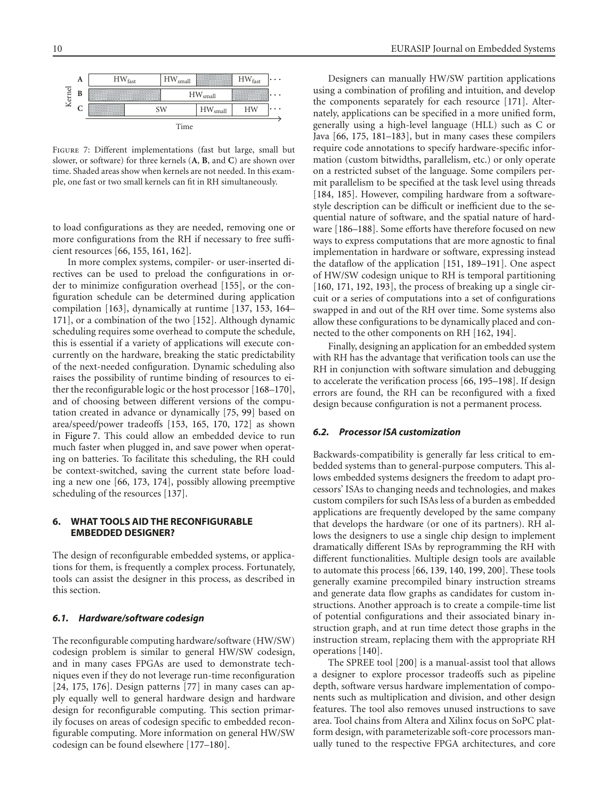

<span id="page-9-2"></span>FIGURE 7: Different implementations (fast but large, small but slower, or software) for three kernels (**A**, **B**, and **C**) are shown over time. Shaded areas show when kernels are not needed. In this example, one fast or two small kernels can fit in RH simultaneously.

to load configurations as they are needed, removing one or more configurations from the RH if necessary to free sufficient resources [\[66](#page-12-23), [155,](#page-15-26) [161,](#page-16-4) [162\]](#page-16-5).

In more complex systems, compiler- or user-inserted directives can be used to preload the configurations in order to minimize configuration overhead [\[155\]](#page-15-26), or the configuration schedule can be determined during application compilation [\[163\]](#page-16-6), dynamically at runtime [\[137](#page-15-9), [153](#page-15-24), [164](#page-16-7)– [171](#page-16-8)], or a combination of the two [\[152\]](#page-15-23). Although dynamic scheduling requires some overhead to compute the schedule, this is essential if a variety of applications will execute concurrently on the hardware, breaking the static predictability of the next-needed configuration. Dynamic scheduling also raises the possibility of runtime binding of resources to either the reconfigurable logic or the host processor [\[168](#page-16-9)[–170](#page-16-10)], and of choosing between different versions of the computation created in advance or dynamically [\[75](#page-13-11), [99](#page-14-2)] based on area/speed/power tradeoffs [\[153,](#page-15-24) [165](#page-16-11), [170](#page-16-10), [172](#page-16-12)] as shown in [Figure 7.](#page-9-2) This could allow an embedded device to run much faster when plugged in, and save power when operating on batteries. To facilitate this scheduling, the RH could be context-switched, saving the current state before loading a new one [\[66,](#page-12-23) [173,](#page-16-13) [174\]](#page-16-14), possibly allowing preemptive scheduling of the resources [\[137\]](#page-15-9).

# <span id="page-9-0"></span>**6. WHAT TOOLS AID THE RECONFIGURABLE EMBEDDED DESIGNER?**

The design of reconfigurable embedded systems, or applications for them, is frequently a complex process. Fortunately, tools can assist the designer in this process, as described in this section.

#### *6.1. Hardware/software codesign*

The reconfigurable computing hardware/software (HW/SW) codesign problem is similar to general HW/SW codesign, and in many cases FPGAs are used to demonstrate techniques even if they do not leverage run-time reconfiguration [\[24](#page-11-10), [175](#page-16-15), [176](#page-16-16)]. Design patterns [\[77\]](#page-13-19) in many cases can apply equally well to general hardware design and hardware design for reconfigurable computing. This section primarily focuses on areas of codesign specific to embedded reconfigurable computing. More information on general HW/SW codesign can be found elsewhere [\[177](#page-16-17)[–180\]](#page-16-18).

HW<sub>small</sub> (HW<sub>small</sub> HW<sub>small</sub> HW<sub>small</sub> HW<sub>small</sub> HW<sub>small</sub> HW<sub>small</sub> HW<sub>small</sub> HW<sub>small</sub> HW<sub>small</sub> HW<sub>small</sub> HW<sub>small</sub> HW<sub>small</sub> HW<sub>small</sub> HW<sub>small</sub> HW<sub>small</sub> HW<sub>small</sub> HW<sub>small</sub> HW<sub>small</sub> HW<sub>small</sub> HW<sub>small</sub> HW<sub>small</sub> H the components separately for each resource [\[171](#page-16-8)]. Alternately, applications can be specified in a more unified form, Designers can manually HW/SW partition applications using a combination of profiling and intuition, and develop generally using a high-level language (HLL) such as C or Java [\[66,](#page-12-23) [175,](#page-16-15) [181](#page-16-19)[–183\]](#page-16-20), but in many cases these compilers require code annotations to specify hardware-specific information (custom bitwidths, parallelism, etc.) or only operate on a restricted subset of the language. Some compilers permit parallelism to be specified at the task level using threads [\[184](#page-16-21), [185](#page-16-22)]. However, compiling hardware from a softwarestyle description can be difficult or inefficient due to the sequential nature of software, and the spatial nature of hardware [\[186](#page-17-0)[–188\]](#page-17-1). Some efforts have therefore focused on new ways to express computations that are more agnostic to final implementation in hardware or software, expressing instead the dataflow of the application [\[151,](#page-15-28) [189](#page-17-2)[–191\]](#page-17-3). One aspect of HW/SW codesign unique to RH is temporal partitioning [\[160](#page-16-3), [171,](#page-16-8) [192,](#page-17-4) [193](#page-17-5)], the process of breaking up a single circuit or a series of computations into a set of configurations swapped in and out of the RH over time. Some systems also allow these configurations to be dynamically placed and connected to the other components on RH [\[162](#page-16-5), [194](#page-17-6)].

> Finally, designing an application for an embedded system with RH has the advantage that verification tools can use the RH in conjunction with software simulation and debugging to accelerate the verification process [\[66](#page-12-23), [195](#page-17-7)[–198](#page-17-8)]. If design errors are found, the RH can be reconfigured with a fixed design because configuration is not a permanent process.

# <span id="page-9-1"></span>*6.2. Processor ISA customization*

Backwards-compatibility is generally far less critical to embedded systems than to general-purpose computers. This allows embedded systems designers the freedom to adapt processors' ISAs to changing needs and technologies, and makes custom compilers for such ISAs less of a burden as embedded applications are frequently developed by the same company that develops the hardware (or one of its partners). RH allows the designers to use a single chip design to implement dramatically different ISAs by reprogramming the RH with different functionalities. Multiple design tools are available to automate this process [\[66,](#page-12-23) [139](#page-15-11), [140](#page-15-12), [199](#page-17-9), [200](#page-17-10)]. These tools generally examine precompiled binary instruction streams and generate data flow graphs as candidates for custom instructions. Another approach is to create a compile-time list of potential configurations and their associated binary instruction graph, and at run time detect those graphs in the instruction stream, replacing them with the appropriate RH operations [\[140\]](#page-15-12).

The SPREE tool [\[200\]](#page-17-10) is a manual-assist tool that allows a designer to explore processor tradeoffs such as pipeline depth, software versus hardware implementation of components such as multiplication and division, and other design features. The tool also removes unused instructions to save area. Tool chains from Altera and Xilinx focus on SoPC platform design, with parameterizable soft-core processors manually tuned to the respective FPGA architectures, and core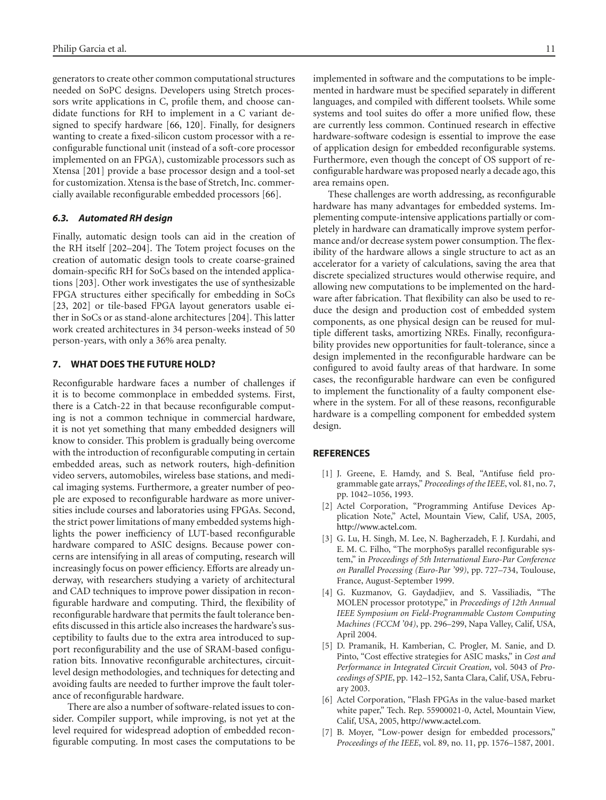generators to create other common computational structures needed on SoPC designs. Developers using Stretch processors write applications in C, profile them, and choose candidate functions for RH to implement in a C variant designed to specify hardware [\[66,](#page-12-23) [120\]](#page-14-18). Finally, for designers wanting to create a fixed-silicon custom processor with a reconfigurable functional unit (instead of a soft-core processor implemented on an FPGA), customizable processors such as Xtensa [\[201\]](#page-17-11) provide a base processor design and a tool-set for customization. Xtensa is the base of Stretch, Inc. commercially available reconfigurable embedded processors [\[66\]](#page-12-23).

#### *6.3. Automated RH design*

Finally, automatic design tools can aid in the creation of the RH itself [\[202](#page-17-12)[–204\]](#page-17-13). The Totem project focuses on the creation of automatic design tools to create coarse-grained domain-specific RH for SoCs based on the intended applications [\[203\]](#page-17-14). Other work investigates the use of synthesizable FPGA structures either specifically for embedding in SoCs [\[23](#page-11-9), [202](#page-17-12)] or tile-based FPGA layout generators usable either in SoCs or as stand-alone architectures [\[204\]](#page-17-13). This latter work created architectures in 34 person-weeks instead of 50 person-years, with only a 36% area penalty.

## <span id="page-10-8"></span>**7. WHAT DOES THE FUTURE HOLD?**

Reconfigurable hardware faces a number of challenges if it is to become commonplace in embedded systems. First, there is a Catch-22 in that because reconfigurable computing is not a common technique in commercial hardware, it is not yet something that many embedded designers will know to consider. This problem is gradually being overcome with the introduction of reconfigurable computing in certain embedded areas, such as network routers, high-definition video servers, automobiles, wireless base stations, and medical imaging systems. Furthermore, a greater number of people are exposed to reconfigurable hardware as more universities include courses and laboratories using FPGAs. Second, the strict power limitations of many embedded systems highlights the power inefficiency of LUT-based reconfigurable hardware compared to ASIC designs. Because power concerns are intensifying in all areas of computing, research will increasingly focus on power efficiency. Efforts are already underway, with researchers studying a variety of architectural and CAD techniques to improve power dissipation in reconfigurable hardware and computing. Third, the flexibility of reconfigurable hardware that permits the fault tolerance benefits discussed in this article also increases the hardware's susceptibility to faults due to the extra area introduced to support reconfigurability and the use of SRAM-based configuration bits. Innovative reconfigurable architectures, circuitlevel design methodologies, and techniques for detecting and avoiding faults are needed to further improve the fault tolerance of reconfigurable hardware.

There are also a number of software-related issues to consider. Compiler support, while improving, is not yet at the level required for widespread adoption of embedded reconfigurable computing. In most cases the computations to be implemented in software and the computations to be implemented in hardware must be specified separately in different languages, and compiled with different toolsets. While some systems and tool suites do offer a more unified flow, these are currently less common. Continued research in effective hardware-software codesign is essential to improve the ease of application design for embedded reconfigurable systems. Furthermore, even though the concept of OS support of reconfigurable hardware was proposed nearly a decade ago, this area remains open.

These challenges are worth addressing, as reconfigurable hardware has many advantages for embedded systems. Implementing compute-intensive applications partially or completely in hardware can dramatically improve system performance and/or decrease system power consumption. The flexibility of the hardware allows a single structure to act as an accelerator for a variety of calculations, saving the area that discrete specialized structures would otherwise require, and allowing new computations to be implemented on the hardware after fabrication. That flexibility can also be used to reduce the design and production cost of embedded system components, as one physical design can be reused for multiple different tasks, amortizing NREs. Finally, reconfigurability provides new opportunities for fault-tolerance, since a design implemented in the reconfigurable hardware can be configured to avoid faulty areas of that hardware. In some cases, the reconfigurable hardware can even be configured to implement the functionality of a faulty component elsewhere in the system. For all of these reasons, reconfigurable hardware is a compelling component for embedded system design.

#### <span id="page-10-1"></span><span id="page-10-0"></span>**REFERENCES**

- [1] J. Greene, E. Hamdy, and S. Beal, "Antifuse field programmable gate arrays," *Proceedings of the IEEE*, vol. 81, no. 7, pp. 1042–1056, 1993.
- <span id="page-10-2"></span>[2] Actel Corporation, "Programming Antifuse Devices Application Note," Actel, Mountain View, Calif, USA, 2005, [http://www.actel.com.](http://www.actel.com)
- <span id="page-10-3"></span>[3] G. Lu, H. Singh, M. Lee, N. Bagherzadeh, F. J. Kurdahi, and E. M. C. Filho, "The morphoSys parallel reconfigurable system," in *Proceedings of 5th International Euro-Par Conference on Parallel Processing (Euro-Par '99)*, pp. 727–734, Toulouse, France, August-September 1999.
- <span id="page-10-4"></span>[4] G. Kuzmanov, G. Gaydadjiev, and S. Vassiliadis, "The MOLEN processor prototype," in *Proceedings of 12th Annual IEEE Symposium on Field-Programmable Custom Computing Machines (FCCM '04)*, pp. 296–299, Napa Valley, Calif, USA, April 2004.
- <span id="page-10-5"></span>[5] D. Pramanik, H. Kamberian, C. Progler, M. Sanie, and D. Pinto, "Cost effective strategies for ASIC masks," in *Cost and Performance in Integrated Circuit Creation*, vol. 5043 of *Proceedings of SPIE*, pp. 142–152, Santa Clara, Calif, USA, February 2003.
- <span id="page-10-6"></span>[6] Actel Corporation, "Flash FPGAs in the value-based market white paper," Tech. Rep. 55900021-0, Actel, Mountain View, Calif, USA, 2005, [http://www.actel.com.](http://www.actel.com)
- <span id="page-10-7"></span>[7] B. Moyer, "Low-power design for embedded processors," *Proceedings of the IEEE*, vol. 89, no. 11, pp. 1576–1587, 2001.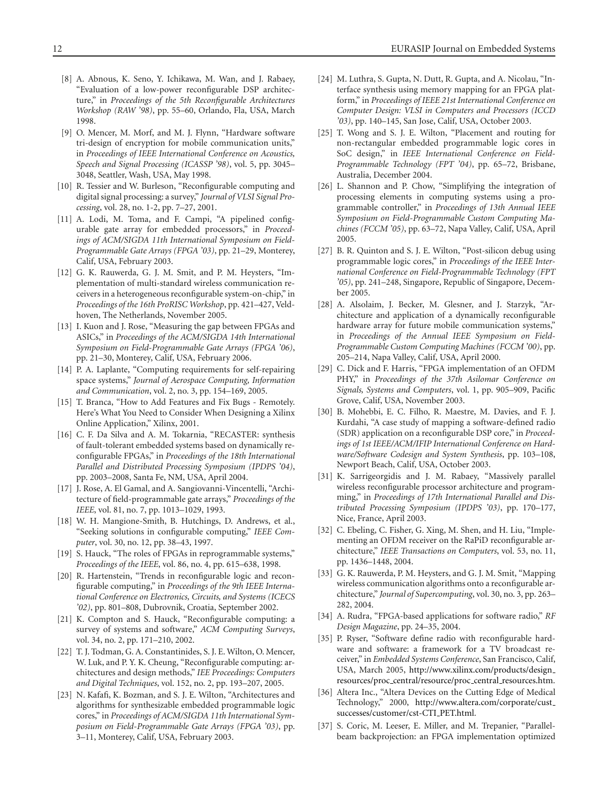- <span id="page-11-0"></span>[8] A. Abnous, K. Seno, Y. Ichikawa, M. Wan, and J. Rabaey, "Evaluation of a low-power reconfigurable DSP architecture," in *Proceedings of the 5th Reconfigurable Architectures Workshop (RAW '98)*, pp. 55–60, Orlando, Fla, USA, March 1998.
- <span id="page-11-18"></span>[9] O. Mencer, M. Morf, and M. J. Flynn, "Hardware software tri-design of encryption for mobile communication units," in *Proceedings of IEEE International Conference on Acoustics, Speech and Signal Processing (ICASSP '98)*, vol. 5, pp. 3045– 3048, Seattler, Wash, USA, May 1998.
- <span id="page-11-2"></span>[10] R. Tessier and W. Burleson, "Reconfigurable computing and digital signal processing: a survey," *Journal of VLSI Signal Processing*, vol. 28, no. 1-2, pp. 7–27, 2001.
- <span id="page-11-22"></span>[11] A. Lodi, M. Toma, and F. Campi, "A pipelined configurable gate array for embedded processors," in *Proceedings of ACM/SIGDA 11th International Symposium on Field-Programmable Gate Arrays (FPGA '03)*, pp. 21–29, Monterey, Calif, USA, February 2003.
- <span id="page-11-1"></span>[12] G. K. Rauwerda, G. J. M. Smit, and P. M. Heysters, "Implementation of multi-standard wireless communication receivers in a heterogeneous reconfigurable system-on-chip," in *Proceedings of the 16th ProRISC Workshop*, pp. 421–427, Veldhoven, The Netherlands, November 2005.
- <span id="page-11-3"></span>[13] I. Kuon and J. Rose, "Measuring the gap between FPGAs and ASICs," in *Proceedings of the ACM/SIGDA 14th International Symposium on Field-Programmable Gate Arrays (FPGA '06)*, pp. 21–30, Monterey, Calif, USA, February 2006.
- <span id="page-11-4"></span>[14] P. A. Laplante, "Computing requirements for self-repairing space systems," *Journal of Aerospace Computing, Information and Communication*, vol. 2, no. 3, pp. 154–169, 2005.
- <span id="page-11-5"></span>[15] T. Branca, "How to Add Features and Fix Bugs - Remotely. Here's What You Need to Consider When Designing a Xilinx Online Application," Xilinx, 2001.
- <span id="page-11-6"></span>[16] C. F. Da Silva and A. M. Tokarnia, "RECASTER: synthesis of fault-tolerant embedded systems based on dynamically reconfigurable FPGAs," in *Proceedings of the 18th International Parallel and Distributed Processing Symposium (IPDPS '04)*, pp. 2003–2008, Santa Fe, NM, USA, April 2004.
- <span id="page-11-7"></span>[17] J. Rose, A. El Gamal, and A. Sangiovanni-Vincentelli, "Architecture of field-programmable gate arrays," *Proceedings of the IEEE*, vol. 81, no. 7, pp. 1013–1029, 1993.
- [18] W. H. Mangione-Smith, B. Hutchings, D. Andrews, et al., "Seeking solutions in configurable computing," *IEEE Computer*, vol. 30, no. 12, pp. 38–43, 1997.
- [19] S. Hauck, "The roles of FPGAs in reprogrammable systems," *Proceedings of the IEEE*, vol. 86, no. 4, pp. 615–638, 1998.
- <span id="page-11-13"></span>[20] R. Hartenstein, "Trends in reconfigurable logic and reconfigurable computing," in *Proceedings of the 9th IEEE International Conference on Electronics, Circuits, and Systems (ICECS '02)*, pp. 801–808, Dubrovnik, Croatia, September 2002.
- <span id="page-11-19"></span>[21] K. Compton and S. Hauck, "Reconfigurable computing: a survey of systems and software," *ACM Computing Surveys*, vol. 34, no. 2, pp. 171–210, 2002.
- <span id="page-11-8"></span>[22] T. J. Todman, G. A. Constantinides, S. J. E. Wilton, O. Mencer, W. Luk, and P. Y. K. Cheung, "Reconfigurable computing: architectures and design methods," *IEE Proceedings: Computers and Digital Techniques*, vol. 152, no. 2, pp. 193–207, 2005.
- <span id="page-11-9"></span>[23] N. Kafafi, K. Bozman, and S. J. E. Wilton, "Architectures and algorithms for synthesizable embedded programmable logic cores," in *Proceedings of ACM/SIGDA 11th International Symposium on Field-Programmable Gate Arrays (FPGA '03)*, pp. 3–11, Monterey, Calif, USA, February 2003.
- <span id="page-11-10"></span>[24] M. Luthra, S. Gupta, N. Dutt, R. Gupta, and A. Nicolau, "Interface synthesis using memory mapping for an FPGA platform," in *Proceedings of IEEE 21st International Conference on Computer Design: VLSI in Computers and Processors (ICCD '03)*, pp. 140–145, San Jose, Calif, USA, October 2003.
- <span id="page-11-20"></span>[25] T. Wong and S. J. E. Wilton, "Placement and routing for non-rectangular embedded programmable logic cores in SoC design," in *IEEE International Conference on Field-Programmable Technology (FPT '04)*, pp. 65–72, Brisbane, Australia, December 2004.
- <span id="page-11-11"></span>[26] L. Shannon and P. Chow, "Simplifying the integration of processing elements in computing systems using a programmable controller," in *Proceedings of 13th Annual IEEE Symposium on Field-Programmable Custom Computing Machines (FCCM '05)*, pp. 63–72, Napa Valley, Calif, USA, April 2005.
- <span id="page-11-12"></span>[27] B. R. Quinton and S. J. E. Wilton, "Post-silicon debug using programmable logic cores," in *Proceedings of the IEEE International Conference on Field-Programmable Technology (FPT '05)*, pp. 241–248, Singapore, Republic of Singapore, December 2005.
- <span id="page-11-14"></span>[28] A. Alsolaim, J. Becker, M. Glesner, and J. Starzyk, "Architecture and application of a dynamically reconfigurable hardware array for future mobile communication systems," in *Proceedings of the Annual IEEE Symposium on Field-Programmable Custom Computing Machines (FCCM '00)*, pp. 205–214, Napa Valley, Calif, USA, April 2000.
- [29] C. Dick and F. Harris, "FPGA implementation of an OFDM PHY," in *Proceedings of the 37th Asilomar Conference on Signals, Systems and Computers*, vol. 1, pp. 905–909, Pacific Grove, Calif, USA, November 2003.
- [30] B. Mohebbi, E. C. Filho, R. Maestre, M. Davies, and F. J. Kurdahi, "A case study of mapping a software-defined radio (SDR) application on a reconfigurable DSP core," in *Proceedings of 1st IEEE/ACM/IFIP International Conference on Hardware/Software Codesign and System Synthesis*, pp. 103–108, Newport Beach, Calif, USA, October 2003.
- [31] K. Sarrigeorgidis and J. M. Rabaey, "Massively parallel wireless reconfigurable processor architecture and programming," in *Proceedings of 17th International Parallel and Distributed Processing Symposium (IPDPS '03)*, pp. 170–177, Nice, France, April 2003.
- [32] C. Ebeling, C. Fisher, G. Xing, M. Shen, and H. Liu, "Implementing an OFDM receiver on the RaPiD reconfigurable architecture," *IEEE Transactions on Computers*, vol. 53, no. 11, pp. 1436–1448, 2004.
- <span id="page-11-21"></span>[33] G. K. Rauwerda, P. M. Heysters, and G. J. M. Smit, "Mapping wireless communication algorithms onto a reconfigurable architecture," *Journal of Supercomputing*, vol. 30, no. 3, pp. 263– 282, 2004.
- [34] A. Rudra, "FPGA-based applications for software radio," *RF Design Magazine*, pp. 24–35, 2004.
- <span id="page-11-15"></span>[35] P. Ryser, "Software define radio with reconfigurable hardware and software: a framework for a TV broadcast receiver," in *Embedded Systems Conference*, San Francisco, Calif, USA, March 2005, [http://www.xilinx.com/products/design](http://www.xilinx.com/products/design_resources/proc_central/resource/proc_central_resources.htm) resources/proc [central/resource/proc](http://www.xilinx.com/products/design_resources/proc_central/resource/proc_central_resources.htm) central resources.htm.
- <span id="page-11-16"></span>[36] Altera Inc., "Altera Devices on the Cutting Edge of Medical Technology," 2000, [http://www.altera.com/corporate/cust](http://www.altera.com/corporate/cust_successes/customer/cst-CTI_PET.html) [successes/customer/cst-CTI](http://www.altera.com/corporate/cust_successes/customer/cst-CTI_PET.html) PET.html.
- <span id="page-11-17"></span>[37] S. Coric, M. Leeser, E. Miller, and M. Trepanier, "Parallelbeam backprojection: an FPGA implementation optimized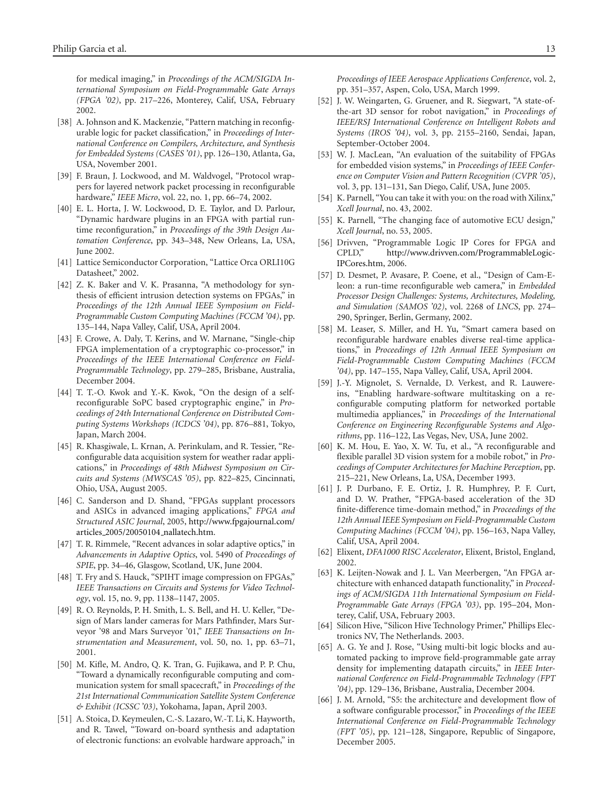for medical imaging," in *Proceedings of the ACM/SIGDA International Symposium on Field-Programmable Gate Arrays (FPGA '02)*, pp. 217–226, Monterey, Calif, USA, February 2002.

- <span id="page-12-0"></span>[38] A. Johnson and K. Mackenzie, "Pattern matching in reconfigurable logic for packet classification," in *Proceedings of International Conference on Compilers, Architecture, and Synthesis for Embedded Systems (CASES '01)*, pp. 126–130, Atlanta, Ga, USA, November 2001.
- <span id="page-12-2"></span>[39] F. Braun, J. Lockwood, and M. Waldvogel, "Protocol wrappers for layered network packet processing in reconfigurable hardware," *IEEE Micro*, vol. 22, no. 1, pp. 66–74, 2002.
- <span id="page-12-3"></span>[40] E. L. Horta, J. W. Lockwood, D. E. Taylor, and D. Parlour, "Dynamic hardware plugins in an FPGA with partial runtime reconfiguration," in *Proceedings of the 39th Design Automation Conference*, pp. 343–348, New Orleans, La, USA, June 2002.
- [41] Lattice Semiconductor Corporation, "Lattice Orca ORLI10G Datasheet," 2002.
- <span id="page-12-1"></span>[42] Z. K. Baker and V. K. Prasanna, "A methodology for synthesis of efficient intrusion detection systems on FPGAs," in *Proceedings of the 12th Annual IEEE Symposium on Field-Programmable Custom Computing Machines (FCCM '04)*, pp. 135–144, Napa Valley, Calif, USA, April 2004.
- <span id="page-12-4"></span>[43] F. Crowe, A. Daly, T. Kerins, and W. Marnane, "Single-chip FPGA implementation of a cryptographic co-processor," in *Proceedings of the IEEE International Conference on Field-Programmable Technology*, pp. 279–285, Brisbane, Australia, December 2004.
- <span id="page-12-5"></span>[44] T. T.-O. Kwok and Y.-K. Kwok, "On the design of a selfreconfigurable SoPC based cryptographic engine," in *Proceedings of 24th International Conference on Distributed Computing Systems Workshops (ICDCS '04)*, pp. 876–881, Tokyo, Japan, March 2004.
- <span id="page-12-6"></span>[45] R. Khasgiwale, L. Krnan, A. Perinkulam, and R. Tessier, "Reconfigurable data acquisition system for weather radar applications," in *Proceedings of 48th Midwest Symposium on Circuits and Systems (MWSCAS '05)*, pp. 822–825, Cincinnati, Ohio, USA, August 2005.
- <span id="page-12-7"></span>[46] C. Sanderson and D. Shand, "FPGAs supplant processors and ASICs in advanced imaging applications," *FPGA and Structured ASIC Journal*, 2005, [http://www.fpgajournal.com/](http://www.fpgajournal.com/articles_2005/20050104_nallatech.htm) articles [2005/20050104](http://www.fpgajournal.com/articles_2005/20050104_nallatech.htm) nallatech.htm.
- <span id="page-12-8"></span>[47] T. R. Rimmele, "Recent advances in solar adaptive optics," in *Advancements in Adaptive Optics*, vol. 5490 of *Proceedings of SPIE*, pp. 34–46, Glasgow, Scotland, UK, June 2004.
- <span id="page-12-9"></span>[48] T. Fry and S. Hauck, "SPIHT image compression on FPGAs," *IEEE Transactions on Circuits and Systems for Video Technology*, vol. 15, no. 9, pp. 1138–1147, 2005.
- <span id="page-12-10"></span>[49] R. O. Reynolds, P. H. Smith, L. S. Bell, and H. U. Keller, "Design of Mars lander cameras for Mars Pathfinder, Mars Surveyor '98 and Mars Surveyor '01," *IEEE Transactions on Instrumentation and Measurement*, vol. 50, no. 1, pp. 63–71, 2001.
- <span id="page-12-11"></span>[50] M. Kifle, M. Andro, Q. K. Tran, G. Fujikawa, and P. P. Chu, "Toward a dynamically reconfigurable computing and communication system for small spacecraft," in *Proceedings of the 21st International Communication Satellite System Conference & Exhibit (ICSSC '03)*, Yokohama, Japan, April 2003.
- <span id="page-12-12"></span>[51] A. Stoica, D. Keymeulen, C.-S. Lazaro, W.-T. Li, K. Hayworth, and R. Tawel, "Toward on-board synthesis and adaptation of electronic functions: an evolvable hardware approach," in

*Proceedings of IEEE Aerospace Applications Conference*, vol. 2, pp. 351–357, Aspen, Colo, USA, March 1999.

- <span id="page-12-13"></span>[52] J. W. Weingarten, G. Gruener, and R. Siegwart, "A state-ofthe-art 3D sensor for robot navigation," in *Proceedings of IEEE/RSJ International Conference on Intelligent Robots and Systems (IROS '04)*, vol. 3, pp. 2155–2160, Sendai, Japan, September-October 2004.
- <span id="page-12-14"></span>[53] W. J. MacLean, "An evaluation of the suitability of FPGAs for embedded vision systems," in *Proceedings of IEEE Conference on Computer Vision and Pattern Recognition (CVPR '05)*, vol. 3, pp. 131–131, San Diego, Calif, USA, June 2005.
- <span id="page-12-15"></span>[54] K. Parnell, "You can take it with you: on the road with Xilinx," *Xcell Journal*, no. 43, 2002.
- <span id="page-12-16"></span>[55] K. Parnell, "The changing face of automotive ECU design," *Xcell Journal*, no. 53, 2005.
- <span id="page-12-17"></span>[56] Drivven, "Programmable Logic IP Cores for FPGA and CPLD," [http://www.drivven.com/ProgrammableLogic-](http://www.drivven.com/ProgrammableLogicIPCores.htm)[IPCores.htm,](http://www.drivven.com/ProgrammableLogicIPCores.htm) 2006.
- <span id="page-12-18"></span>[57] D. Desmet, P. Avasare, P. Coene, et al., "Design of Cam-Eleon: a run-time reconfigurable web camera," in *Embedded Processor Design Challenges: Systems, Architectures, Modeling, and Simulation (SAMOS '02)*, vol. 2268 of *LNCS*, pp. 274– 290, Springer, Berlin, Germany, 2002.
- <span id="page-12-19"></span>[58] M. Leaser, S. Miller, and H. Yu, "Smart camera based on reconfigurable hardware enables diverse real-time applications," in *Proceedings of 12th Annual IEEE Symposium on Field-Programmable Custom Computing Machines (FCCM '04)*, pp. 147–155, Napa Valley, Calif, USA, April 2004.
- <span id="page-12-20"></span>[59] J.-Y. Mignolet, S. Vernalde, D. Verkest, and R. Lauwereins, "Enabling hardware-software multitasking on a reconfigurable computing platform for networked portable multimedia appliances," in *Proceedings of the International Conference on Engineering Reconfigurable Systems and Algorithms*, pp. 116–122, Las Vegas, Nev, USA, June 2002.
- <span id="page-12-26"></span>[60] K. M. Hou, E. Yao, X. W. Tu, et al., "A reconfigurable and flexible parallel 3D vision system for a mobile robot," in *Proceedings of Computer Architectures for Machine Perception*, pp. 215–221, New Orleans, La, USA, December 1993.
- <span id="page-12-21"></span>[61] J. P. Durbano, F. E. Ortiz, J. R. Humphrey, P. F. Curt, and D. W. Prather, "FPGA-based acceleration of the 3D finite-difference time-domain method," in *Proceedings of the 12th Annual IEEE Symposium on Field-Programmable Custom Computing Machines (FCCM '04)*, pp. 156–163, Napa Valley, Calif, USA, April 2004.
- <span id="page-12-22"></span>[62] Elixent, *DFA1000 RISC Accelerator*, Elixent, Bristol, England, 2002.
- <span id="page-12-24"></span>[63] K. Leijten-Nowak and J. L. Van Meerbergen, "An FPGA architecture with enhanced datapath functionality," in *Proceedings of ACM/SIGDA 11th International Symposium on Field-Programmable Gate Arrays (FPGA '03)*, pp. 195–204, Monterey, Calif, USA, February 2003.
- <span id="page-12-25"></span>[64] Silicon Hive, "Silicon Hive Technology Primer," Phillips Electronics NV, The Netherlands. 2003.
- [65] A. G. Ye and J. Rose, "Using multi-bit logic blocks and automated packing to improve field-programmable gate array density for implementing datapath circuits," in *IEEE International Conference on Field-Programmable Technology (FPT '04)*, pp. 129–136, Brisbane, Australia, December 2004.
- <span id="page-12-23"></span>[66] J. M. Arnold, "S5: the architecture and development flow of a software configurable processor," in *Proceedings of the IEEE International Conference on Field-Programmable Technology (FPT '05)*, pp. 121–128, Singapore, Republic of Singapore, December 2005.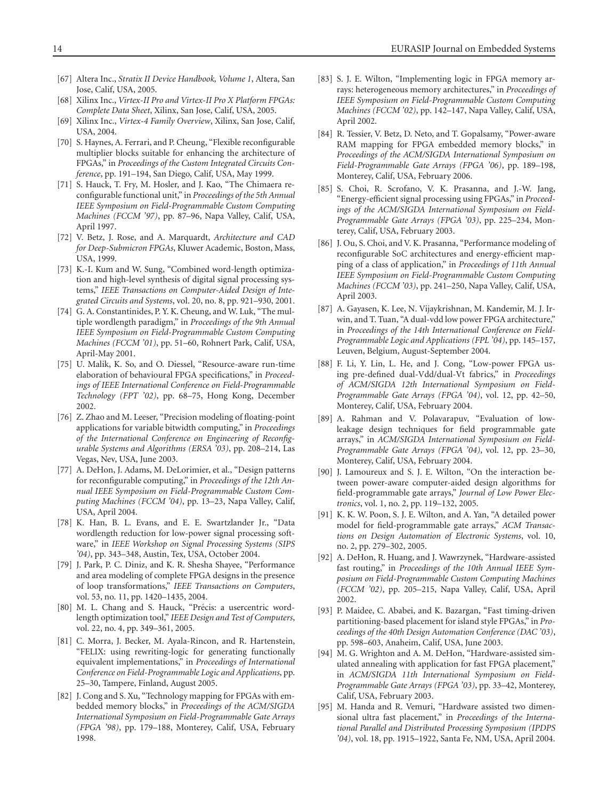- <span id="page-13-0"></span>[67] Altera Inc., *Stratix II Device Handbook, Volume 1*, Altera, San Jose, Calif, USA, 2005.
- <span id="page-13-18"></span>[68] Xilinx Inc., *Virtex-II Pro and Virtex-II Pro X Platform FPGAs: Complete Data Sheet*, Xilinx, San Jose, Calif, USA, 2005.
- <span id="page-13-1"></span>[69] Xilinx Inc., *Virtex-4 Family Overview*, Xilinx, San Jose, Calif, USA, 2004.
- <span id="page-13-2"></span>[70] S. Haynes, A. Ferrari, and P. Cheung, "Flexible reconfigurable multiplier blocks suitable for enhancing the architecture of FPGAs," in *Proceedings of the Custom Integrated Circuits Conference*, pp. 191–194, San Diego, Calif, USA, May 1999.
- <span id="page-13-3"></span>[71] S. Hauck, T. Fry, M. Hosler, and J. Kao, "The Chimaera reconfigurable functional unit," in *Proceedings of the 5th Annual IEEE Symposium on Field-Programmable Custom Computing Machines (FCCM '97)*, pp. 87–96, Napa Valley, Calif, USA, April 1997.
- <span id="page-13-4"></span>[72] V. Betz, J. Rose, and A. Marquardt, *Architecture and CAD for Deep-Submicron FPGAs*, Kluwer Academic, Boston, Mass, USA, 1999.
- <span id="page-13-5"></span>[73] K.-I. Kum and W. Sung, "Combined word-length optimization and high-level synthesis of digital signal processing systems," *IEEE Transactions on Computer-Aided Design of Integrated Circuits and Systems*, vol. 20, no. 8, pp. 921–930, 2001.
- [74] G. A. Constantinides, P. Y. K. Cheung, and W. Luk, "The multiple wordlength paradigm," in *Proceedings of the 9th Annual IEEE Symposium on Field-Programmable Custom Computing Machines (FCCM '01)*, pp. 51–60, Rohnert Park, Calif, USA, April-May 2001.
- <span id="page-13-11"></span>[75] U. Malik, K. So, and O. Diessel, "Resource-aware run-time elaboration of behavioural FPGA specifications," in *Proceedings of IEEE International Conference on Field-Programmable Technology (FPT '02)*, pp. 68–75, Hong Kong, December 2002.
- [76] Z. Zhao and M. Leeser, "Precision modeling of floating-point applications for variable bitwidth computing," in *Proceedings of the International Conference on Engineering of Reconfigurable Systems and Algorithms (ERSA '03)*, pp. 208–214, Las Vegas, Nev, USA, June 2003.
- <span id="page-13-19"></span>[77] A. DeHon, J. Adams, M. DeLorimier, et al., "Design patterns for reconfigurable computing," in *Proceedings of the 12th Annual IEEE Symposium on Field-Programmable Custom Computing Machines (FCCM '04)*, pp. 13–23, Napa Valley, Calif, USA, April 2004.
- [78] K. Han, B. L. Evans, and E. E. Swartzlander Jr., "Data wordlength reduction for low-power signal processing software," in *IEEE Workshop on Signal Processing Systems (SIPS '04)*, pp. 343–348, Austin, Tex, USA, October 2004.
- [79] J. Park, P. C. Diniz, and K. R. Shesha Shayee, "Performance and area modeling of complete FPGA designs in the presence of loop transformations," *IEEE Transactions on Computers*, vol. 53, no. 11, pp. 1420–1435, 2004.
- [80] M. L. Chang and S. Hauck, "Précis: a usercentric wordlength optimization tool," *IEEE Design and Test of Computers*, vol. 22, no. 4, pp. 349–361, 2005.
- <span id="page-13-6"></span>[81] C. Morra, J. Becker, M. Ayala-Rincon, and R. Hartenstein, "FELIX: using rewriting-logic for generating functionally equivalent implementations," in *Proceedings of International Conference on Field-Programmable Logic and Applications*, pp. 25–30, Tampere, Finland, August 2005.
- <span id="page-13-7"></span>[82] J. Cong and S. Xu, "Technology mapping for FPGAs with embedded memory blocks," in *Proceedings of the ACM/SIGDA International Symposium on Field-Programmable Gate Arrays (FPGA '98)*, pp. 179–188, Monterey, Calif, USA, February 1998.
- [83] S. J. E. Wilton, "Implementing logic in FPGA memory arrays: heterogeneous memory architectures," in *Proceedings of IEEE Symposium on Field-Programmable Custom Computing Machines (FCCM '02)*, pp. 142–147, Napa Valley, Calif, USA, April 2002.
- <span id="page-13-8"></span>[84] R. Tessier, V. Betz, D. Neto, and T. Gopalsamy, "Power-aware RAM mapping for FPGA embedded memory blocks," in *Proceedings of the ACM/SIGDA International Symposium on Field-Programmable Gate Arrays (FPGA '06)*, pp. 189–198, Monterey, Calif, USA, February 2006.
- <span id="page-13-15"></span>[85] S. Choi, R. Scrofano, V. K. Prasanna, and J.-W. Jang, "Energy-efficient signal processing using FPGAs," in *Proceedings of the ACM/SIGDA International Symposium on Field-Programmable Gate Arrays (FPGA '03)*, pp. 225–234, Monterey, Calif, USA, February 2003.
- <span id="page-13-16"></span>[86] J. Ou, S. Choi, and V. K. Prasanna, "Performance modeling of reconfigurable SoC architectures and energy-efficient mapping of a class of application," in *Proceedings of 11th Annual IEEE Symposium on Field-Programmable Custom Computing Machines (FCCM '03)*, pp. 241–250, Napa Valley, Calif, USA, April 2003.
- <span id="page-13-13"></span>[87] A. Gayasen, K. Lee, N. Vijaykrishnan, M. Kandemir, M. J. Irwin, and T. Tuan, "A dual-vdd low power FPGA architecture," in *Proceedings of the 14th International Conference on Field-Programmable Logic and Applications (FPL '04)*, pp. 145–157, Leuven, Belgium, August-September 2004.
- <span id="page-13-12"></span>[88] F. Li, Y. Lin, L. He, and J. Cong, "Low-power FPGA using pre-defined dual-Vdd/dual-Vt fabrics," in *Proceedings of ACM/SIGDA 12th International Symposium on Field-Programmable Gate Arrays (FPGA '04)*, vol. 12, pp. 42–50, Monterey, Calif, USA, February 2004.
- <span id="page-13-14"></span>[89] A. Rahman and V. Polavarapuv, "Evaluation of lowleakage design techniques for field programmable gate arrays," in *ACM/SIGDA International Symposium on Field-Programmable Gate Arrays (FPGA '04)*, vol. 12, pp. 23–30, Monterey, Calif, USA, February 2004.
- <span id="page-13-17"></span>[90] J. Lamoureux and S. J. E. Wilton, "On the interaction between power-aware computer-aided design algorithms for field-programmable gate arrays," *Journal of Low Power Electronics*, vol. 1, no. 2, pp. 119–132, 2005.
- <span id="page-13-9"></span>[91] K. K. W. Poon, S. J. E. Wilton, and A. Yan, "A detailed power model for field-programmable gate arrays," *ACM Transactions on Design Automation of Electronic Systems*, vol. 10, no. 2, pp. 279–302, 2005.
- <span id="page-13-10"></span>[92] A. DeHon, R. Huang, and J. Wawrzynek, "Hardware-assisted fast routing," in *Proceedings of the 10th Annual IEEE Symposium on Field-Programmable Custom Computing Machines (FCCM '02)*, pp. 205–215, Napa Valley, Calif, USA, April 2002.
- [93] P. Maidee, C. Ababei, and K. Bazargan, "Fast timing-driven partitioning-based placement for island style FPGAs," in *Proceedings of the 40th Design Automation Conference (DAC '03)*, pp. 598–603, Anaheim, Calif, USA, June 2003.
- [94] M. G. Wrighton and A. M. DeHon, "Hardware-assisted simulated annealing with application for fast FPGA placement," in *ACM/SIGDA 11th International Symposium on Field-Programmable Gate Arrays (FPGA '03)*, pp. 33–42, Monterey, Calif, USA, February 2003.
- [95] M. Handa and R. Vemuri, "Hardware assisted two dimensional ultra fast placement," in *Proceedings of the International Parallel and Distributed Processing Symposium (IPDPS '04)*, vol. 18, pp. 1915–1922, Santa Fe, NM, USA, April 2004.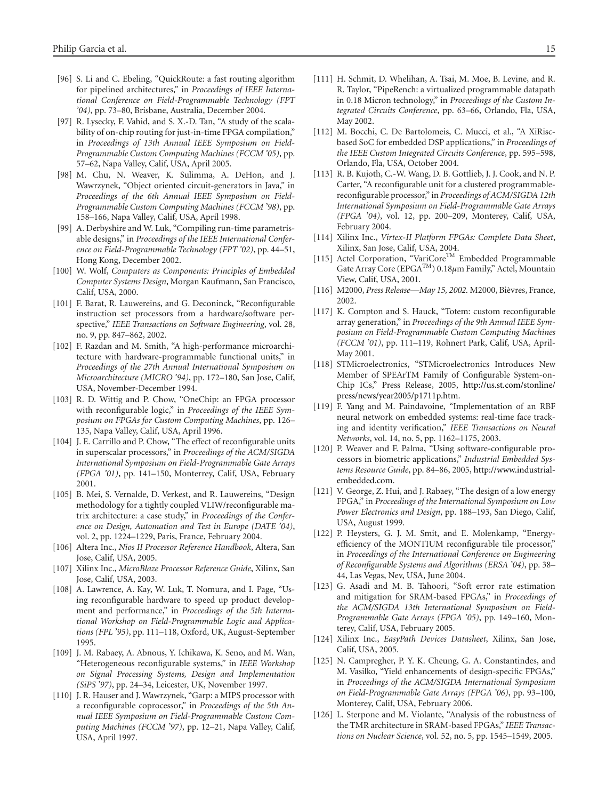- [96] S. Li and C. Ebeling, "QuickRoute: a fast routing algorithm for pipelined architectures," in *Proceedings of IEEE International Conference on Field-Programmable Technology (FPT '04)*, pp. 73–80, Brisbane, Australia, December 2004.
- <span id="page-14-0"></span>[97] R. Lysecky, F. Vahid, and S. X.-D. Tan, "A study of the scalability of on-chip routing for just-in-time FPGA compilation," in *Proceedings of 13th Annual IEEE Symposium on Field-Programmable Custom Computing Machines (FCCM '05)*, pp. 57–62, Napa Valley, Calif, USA, April 2005.
- <span id="page-14-1"></span>[98] M. Chu, N. Weaver, K. Sulimma, A. DeHon, and J. Wawrzynek, "Object oriented circuit-generators in Java," in *Proceedings of the 6th Annual IEEE Symposium on Field-Programmable Custom Computing Machines (FCCM '98)*, pp. 158–166, Napa Valley, Calif, USA, April 1998.
- <span id="page-14-2"></span>[99] A. Derbyshire and W. Luk, "Compiling run-time parametrisable designs," in *Proceedings of the IEEE International Conference on Field-Programmable Technology (FPT '02)*, pp. 44–51, Hong Kong, December 2002.
- <span id="page-14-3"></span>[100] W. Wolf, *Computers as Components: Principles of Embedded Computer Systems Design*, Morgan Kaufmann, San Francisco, Calif, USA, 2000.
- <span id="page-14-4"></span>[101] F. Barat, R. Lauwereins, and G. Deconinck, "Reconfigurable instruction set processors from a hardware/software perspective," *IEEE Transactions on Software Engineering*, vol. 28, no. 9, pp. 847–862, 2002.
- <span id="page-14-5"></span>[102] F. Razdan and M. Smith, "A high-performance microarchitecture with hardware-programmable functional units," in *Proceedings of the 27th Annual International Symposium on Microarchitecture (MICRO '94)*, pp. 172–180, San Jose, Calif, USA, November-December 1994.
- [103] R. D. Wittig and P. Chow, "OneChip: an FPGA processor with reconfigurable logic," in *Proceedings of the IEEE Symposium on FPGAs for Custom Computing Machines*, pp. 126– 135, Napa Valley, Calif, USA, April 1996.
- [104] J. E. Carrillo and P. Chow, "The effect of reconfigurable units in superscalar processors," in *Proceedings of the ACM/SIGDA International Symposium on Field-Programmable Gate Arrays (FPGA '01)*, pp. 141–150, Monterrey, Calif, USA, February 2001.
- [105] B. Mei, S. Vernalde, D. Verkest, and R. Lauwereins, "Design methodology for a tightly coupled VLIW/reconfigurable matrix architecture: a case study," in *Proceedings of the Conference on Design, Automation and Test in Europe (DATE '04)*, vol. 2, pp. 1224–1229, Paris, France, February 2004.
- <span id="page-14-6"></span>[106] Altera Inc., *Nios II Processor Reference Handbook*, Altera, San Jose, Calif, USA, 2005.
- <span id="page-14-7"></span>[107] Xilinx Inc., *MicroBlaze Processor Reference Guide*, Xilinx, San Jose, Calif, USA, 2003.
- <span id="page-14-8"></span>[108] A. Lawrence, A. Kay, W. Luk, T. Nomura, and I. Page, "Using reconfigurable hardware to speed up product development and performance," in *Proceedings of the 5th International Workshop on Field-Programmable Logic and Applications (FPL '95)*, pp. 111–118, Oxford, UK, August-September 1995.
- <span id="page-14-10"></span>[109] J. M. Rabaey, A. Abnous, Y. Ichikawa, K. Seno, and M. Wan, "Heterogeneous reconfigurable systems," in *IEEE Workshop on Signal Processing Systems, Design and Implementation (SiPS '97)*, pp. 24–34, Leicester, UK, November 1997.
- <span id="page-14-25"></span>[110] J. R. Hauser and J. Wawrzynek, "Garp: a MIPS processor with a reconfigurable coprocessor," in *Proceedings of the 5th Annual IEEE Symposium on Field-Programmable Custom Computing Machines (FCCM '97)*, pp. 12–21, Napa Valley, Calif, USA, April 1997.
- <span id="page-14-26"></span>[111] H. Schmit, D. Whelihan, A. Tsai, M. Moe, B. Levine, and R. R. Taylor, "PipeRench: a virtualized programmable datapath in 0.18 Micron technology," in *Proceedings of the Custom Integrated Circuits Conference*, pp. 63–66, Orlando, Fla, USA, May 2002.
- <span id="page-14-9"></span>[112] M. Bocchi, C. De Bartolomeis, C. Mucci, et al., "A XiRiscbased SoC for embedded DSP applications," in *Proceedings of the IEEE Custom Integrated Circuits Conference*, pp. 595–598, Orlando, Fla, USA, October 2004.
- <span id="page-14-11"></span>[113] R. B. Kujoth, C.-W. Wang, D. B. Gottlieb, J. J. Cook, and N. P. Carter, "A reconfigurable unit for a clustered programmablereconfigurable processor," in *Proceedings of ACM/SIGDA 12th International Symposium on Field-Programmable Gate Arrays (FPGA '04)*, vol. 12, pp. 200–209, Monterey, Calif, USA, February 2004.
- <span id="page-14-12"></span>[114] Xilinx Inc., *Virtex-II Platform FPGAs: Complete Data Sheet*, Xilinx, San Jose, Calif, USA, 2004.
- <span id="page-14-13"></span>[115] Actel Corporation, "VariCore<sup>TM</sup> Embedded Programmable Gate Array Core (EPGATM) 0.18*µ*m Family," Actel, Mountain View, Calif, USA, 2001.
- <span id="page-14-14"></span>[116] M2000, *Press Release—May 15, 2002.* M2000, Bievres, France, ` 2002.
- <span id="page-14-15"></span>[117] K. Compton and S. Hauck, "Totem: custom reconfigurable array generation," in *Proceedings of the 9th Annual IEEE Symposium on Field-Programmable Custom Computing Machines (FCCM '01)*, pp. 111–119, Rohnert Park, Calif, USA, April-May 2001.
- <span id="page-14-16"></span>[118] STMicroelectronics, "STMicroelectronics Introduces New Member of SPEArTM Family of Configurable System-on-Chip ICs," Press Release, 2005, [http://us.st.com/stonline/](http://us.st.com/stonline/press/news/year2005/p1711p.htm) [press/news/year2005/p1711p.htm.](http://us.st.com/stonline/press/news/year2005/p1711p.htm)
- <span id="page-14-17"></span>[119] F. Yang and M. Paindavoine, "Implementation of an RBF neural network on embedded systems: real-time face tracking and identity verification," *IEEE Transactions on Neural Networks*, vol. 14, no. 5, pp. 1162–1175, 2003.
- <span id="page-14-18"></span>[120] P. Weaver and F. Palma, "Using software-configurable processors in biometric applications," *Industrial Embedded Systems Resource Guide*, pp. 84–86, 2005, [http://www.industrial](http://www.industrial-embedded.com)[embedded.com.](http://www.industrial-embedded.com)
- <span id="page-14-19"></span>[121] V. George, Z. Hui, and J. Rabaey, "The design of a low energy FPGA," in *Proceedings of the International Symposium on Low Power Electronics and Design*, pp. 188–193, San Diego, Calif, USA, August 1999.
- <span id="page-14-20"></span>[122] P. Heysters, G. J. M. Smit, and E. Molenkamp, "Energyefficiency of the MONTIUM reconfigurable tile processor," in *Proceedings of the International Conference on Engineering of Reconfigurable Systems and Algorithms (ERSA '04)*, pp. 38– 44, Las Vegas, Nev, USA, June 2004.
- <span id="page-14-21"></span>[123] G. Asadi and M. B. Tahoori, "Soft error rate estimation and mitigation for SRAM-based FPGAs," in *Proceedings of the ACM/SIGDA 13th International Symposium on Field-Programmable Gate Arrays (FPGA '05)*, pp. 149–160, Monterey, Calif, USA, February 2005.
- <span id="page-14-22"></span>[124] Xilinx Inc., *EasyPath Devices Datasheet*, Xilinx, San Jose, Calif, USA, 2005.
- <span id="page-14-23"></span>[125] N. Campregher, P. Y. K. Cheung, G. A. Constantindes, and M. Vasilko, "Yield enhancements of design-specific FPGAs," in *Proceedings of the ACM/SIGDA International Symposium on Field-Programmable Gate Arrays (FPGA '06)*, pp. 93–100, Monterey, Calif, USA, February 2006.
- <span id="page-14-24"></span>[126] L. Sterpone and M. Violante, "Analysis of the robustness of the TMR architecture in SRAM-based FPGAs," *IEEE Transactions on Nuclear Science*, vol. 52, no. 5, pp. 1545–1549, 2005.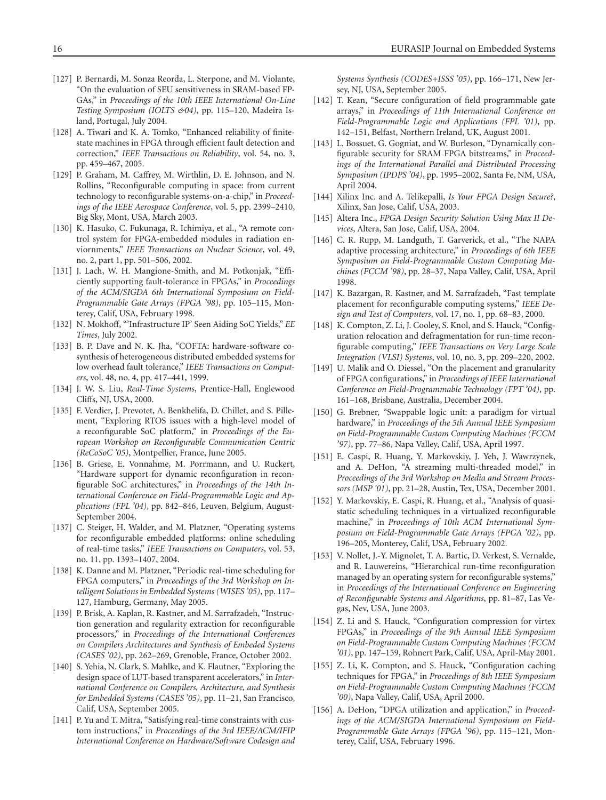- <span id="page-15-0"></span>[127] P. Bernardi, M. Sonza Reorda, L. Sterpone, and M. Violante, "On the evaluation of SEU sensitiveness in SRAM-based FP-GAs," in *Proceedings of the 10th IEEE International On-Line Testing Symposium (IOLTS &04)*, pp. 115–120, Madeira Island, Portugal, July 2004.
- <span id="page-15-1"></span>[128] A. Tiwari and K. A. Tomko, "Enhanced reliability of finitestate machines in FPGA through efficient fault detection and correction," *IEEE Transactions on Reliability*, vol. 54, no. 3, pp. 459–467, 2005.
- <span id="page-15-2"></span>[129] P. Graham, M. Caffrey, M. Wirthlin, D. E. Johnson, and N. Rollins, "Reconfigurable computing in space: from current technology to reconfigurable systems-on-a-chip," in *Proceedings of the IEEE Aerospace Conference*, vol. 5, pp. 2399–2410, Big Sky, Mont, USA, March 2003.
- <span id="page-15-3"></span>[130] K. Hasuko, C. Fukunaga, R. Ichimiya, et al., "A remote control system for FPGA-embedded modules in radiation enviornments," *IEEE Transactions on Nuclear Science*, vol. 49, no. 2, part 1, pp. 501–506, 2002.
- <span id="page-15-4"></span>[131] J. Lach, W. H. Mangione-Smith, and M. Potkonjak, "Efficiently supporting fault-tolerance in FPGAs," in *Proceedings of the ACM/SIGDA 6th International Symposium on Field-Programmable Gate Arrays (FPGA '98)*, pp. 105–115, Monterey, Calif, USA, February 1998.
- <span id="page-15-5"></span>[132] N. Mokhoff, "'Infrastructure IP' Seen Aiding SoC Yields," *EE Times*, July 2002.
- <span id="page-15-6"></span>[133] B. P. Dave and N. K. Jha, "COFTA: hardware-software cosynthesis of heterogeneous distributed embedded systems for low overhead fault tolerance," *IEEE Transactions on Computers*, vol. 48, no. 4, pp. 417–441, 1999.
- <span id="page-15-7"></span>[134] J. W. S. Liu, *Real-Time Systems*, Prentice-Hall, Englewood Cliffs, NJ, USA, 2000.
- <span id="page-15-8"></span>[135] F. Verdier, J. Prevotet, A. Benkhelifa, D. Chillet, and S. Pillement, "Exploring RTOS issues with a high-level model of a reconfigurable SoC platform," in *Proceedings of the European Workshop on Reconfigurable Communication Centric (ReCoSoC '05)*, Montpellier, France, June 2005.
- <span id="page-15-18"></span>[136] B. Griese, E. Vonnahme, M. Porrmann, and U. Ruckert, "Hardware support for dynamic reconfiguration in reconfigurable SoC architectures," in *Proceedings of the 14th International Conference on Field-Programmable Logic and Applications (FPL '04)*, pp. 842–846, Leuven, Belgium, August-September 2004.
- <span id="page-15-9"></span>[137] C. Steiger, H. Walder, and M. Platzner, "Operating systems for reconfigurable embedded platforms: online scheduling of real-time tasks," *IEEE Transactions on Computers*, vol. 53, no. 11, pp. 1393–1407, 2004.
- <span id="page-15-10"></span>[138] K. Danne and M. Platzner, "Periodic real-time scheduling for FPGA computers," in *Proceedings of the 3rd Workshop on Intelligent Solutions in Embedded Systems (WISES '05)*, pp. 117– 127, Hamburg, Germany, May 2005.
- <span id="page-15-11"></span>[139] P. Brisk, A. Kaplan, R. Kastner, and M. Sarrafzadeh, "Instruction generation and regularity extraction for reconfigurable processors," in *Proceedings of the International Conferences on Compilers Architectures and Synthesis of Embeded Systems (CASES '02)*, pp. 262–269, Grenoble, France, October 2002.
- <span id="page-15-12"></span>[140] S. Yehia, N. Clark, S. Mahlke, and K. Flautner, "Exploring the design space of LUT-based transparent accelerators," in *International Conference on Compilers, Architecture, and Synthesis for Embedded Systems (CASES '05)*, pp. 11–21, San Francisco, Calif, USA, September 2005.
- <span id="page-15-13"></span>[141] P. Yu and T. Mitra, "Satisfying real-time constraints with custom instructions," in *Proceedings of the 3rd IEEE/ACM/IFIP International Conference on Hardware/Software Codesign and*

*Systems Synthesis (CODES+ISSS '05)*, pp. 166–171, New Jersey, NJ, USA, September 2005.

- <span id="page-15-14"></span>[142] T. Kean, "Secure configuration of field programmable gate arrays," in *Proceedings of 11th International Conference on Field-Programmable Logic and Applications (FPL '01)*, pp. 142–151, Belfast, Northern Ireland, UK, August 2001.
- <span id="page-15-15"></span>[143] L. Bossuet, G. Gogniat, and W. Burleson, "Dynamically configurable security for SRAM FPGA bitstreams," in *Proceedings of the International Parallel and Distributed Processing Symposium (IPDPS '04)*, pp. 1995–2002, Santa Fe, NM, USA, April 2004.
- <span id="page-15-16"></span>[144] Xilinx Inc. and A. Telikepalli, *Is Your FPGA Design Secure?*, Xilinx, San Jose, Calif, USA, 2003.
- <span id="page-15-17"></span>[145] Altera Inc., *FPGA Design Security Solution Using Max II Devices*, Altera, San Jose, Calif, USA, 2004.
- <span id="page-15-19"></span>[146] C. R. Rupp, M. Landguth, T. Garverick, et al., "The NAPA adaptive processing architecture," in *Proceedings of 6th IEEE Symposium on Field-Programmable Custom Computing Machines (FCCM '98)*, pp. 28–37, Napa Valley, Calif, USA, April 1998.
- <span id="page-15-20"></span>[147] K. Bazargan, R. Kastner, and M. Sarrafzadeh, "Fast template placement for reconfigurable computing systems," *IEEE Design and Test of Computers*, vol. 17, no. 1, pp. 68–83, 2000.
- [148] K. Compton, Z. Li, J. Cooley, S. Knol, and S. Hauck, "Configuration relocation and defragmentation for run-time reconfigurable computing," *IEEE Transactions on Very Large Scale Integration (VLSI) Systems*, vol. 10, no. 3, pp. 209–220, 2002.
- <span id="page-15-21"></span>[149] U. Malik and O. Diessel, "On the placement and granularity of FPGA configurations," in *Proceedings of IEEE International Conference on Field-Programmable Technology (FPT '04)*, pp. 161–168, Brisbane, Australia, December 2004.
- <span id="page-15-22"></span>[150] G. Brebner, "Swappable logic unit: a paradigm for virtual hardware," in *Proceedings of the 5th Annual IEEE Symposium on Field-Programmable Custom Computing Machines (FCCM '97)*, pp. 77–86, Napa Valley, Calif, USA, April 1997.
- <span id="page-15-28"></span>[151] E. Caspi, R. Huang, Y. Markovskiy, J. Yeh, J. Wawrzynek, and A. DeHon, "A streaming multi-threaded model," in *Proceedings of the 3rd Workshop on Media and Stream Processors (MSP '01)*, pp. 21–28, Austin, Tex, USA, December 2001.
- <span id="page-15-23"></span>[152] Y. Markovskiy, E. Caspi, R. Huang, et al., "Analysis of quasistatic scheduling techniques in a virtualized reconfigurable machine," in *Proceedings of 10th ACM International Symposium on Field-Programmable Gate Arrays (FPGA '02)*, pp. 196–205, Monterey, Calif, USA, February 2002.
- <span id="page-15-24"></span>[153] V. Nollet, J.-Y. Mignolet, T. A. Bartic, D. Verkest, S. Vernalde, and R. Lauwereins, "Hierarchical run-time reconfiguration managed by an operating system for reconfigurable systems," in *Proceedings of the International Conference on Engineering of Reconfigurable Systems and Algorithms*, pp. 81–87, Las Vegas, Nev, USA, June 2003.
- <span id="page-15-25"></span>[154] Z. Li and S. Hauck, "Configuration compression for virtex FPGAs," in *Proceedings of the 9th Annual IEEE Symposium on Field-Programmable Custom Computing Machines (FCCM '01)*, pp. 147–159, Rohnert Park, Calif, USA, April-May 2001.
- <span id="page-15-26"></span>[155] Z. Li, K. Compton, and S. Hauck, "Configuration caching techniques for FPGA," in *Proceedings of 8th IEEE Symposium on Field-Programmable Custom Computing Machines (FCCM '00)*, Napa Valley, Calif, USA, April 2000.
- <span id="page-15-27"></span>[156] A. DeHon, "DPGA utilization and application," in *Proceedings of the ACM/SIGDA International Symposium on Field-Programmable Gate Arrays (FPGA '96)*, pp. 115–121, Monterey, Calif, USA, February 1996.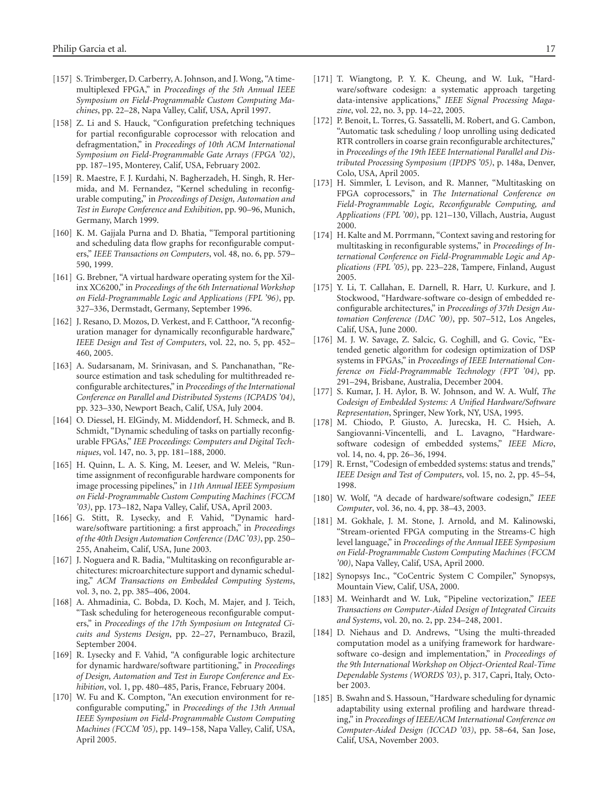- <span id="page-16-0"></span>[157] S. Trimberger, D. Carberry, A. Johnson, and J. Wong, "A timemultiplexed FPGA," in *Proceedings of the 5th Annual IEEE Symposium on Field-Programmable Custom Computing Machines*, pp. 22–28, Napa Valley, Calif, USA, April 1997.
- <span id="page-16-1"></span>[158] Z. Li and S. Hauck, "Configuration prefetching techniques for partial reconfigurable coprocessor with relocation and defragmentation," in *Proceedings of 10th ACM International Symposium on Field-Programmable Gate Arrays (FPGA '02)*, pp. 187–195, Monterey, Calif, USA, February 2002.
- <span id="page-16-2"></span>[159] R. Maestre, F. J. Kurdahi, N. Bagherzadeh, H. Singh, R. Hermida, and M. Fernandez, "Kernel scheduling in reconfigurable computing," in *Proceedings of Design, Automation and Test in Europe Conference and Exhibition*, pp. 90–96, Munich, Germany, March 1999.
- <span id="page-16-3"></span>[160] K. M. Gajjala Purna and D. Bhatia, "Temporal partitioning and scheduling data flow graphs for reconfigurable computers," *IEEE Transactions on Computers*, vol. 48, no. 6, pp. 579– 590, 1999.
- <span id="page-16-4"></span>[161] G. Brebner, "A virtual hardware operating system for the Xilinx XC6200," in *Proceedings of the 6th International Workshop on Field-Programmable Logic and Applications (FPL '96)*, pp. 327–336, Dermstadt, Germany, September 1996.
- <span id="page-16-5"></span>[162] J. Resano, D. Mozos, D. Verkest, and F. Catthoor, "A reconfiguration manager for dynamically reconfigurable hardware," *IEEE Design and Test of Computers*, vol. 22, no. 5, pp. 452– 460, 2005.
- <span id="page-16-6"></span>[163] A. Sudarsanam, M. Srinivasan, and S. Panchanathan, "Resource estimation and task scheduling for multithreaded reconfigurable architectures," in *Proceedings of the International Conference on Parallel and Distributed Systems (ICPADS '04)*, pp. 323–330, Newport Beach, Calif, USA, July 2004.
- <span id="page-16-7"></span>[164] O. Diessel, H. ElGindy, M. Middendorf, H. Schmeck, and B. Schmidt, "Dynamic scheduling of tasks on partially reconfigurable FPGAs," *IEE Proceedings: Computers and Digital Techniques*, vol. 147, no. 3, pp. 181–188, 2000.
- <span id="page-16-11"></span>[165] H. Quinn, L. A. S. King, M. Leeser, and W. Meleis, "Runtime assignment of reconfigurable hardware components for image processing pipelines," in *11th Annual IEEE Symposium on Field-Programmable Custom Computing Machines (FCCM '03)*, pp. 173–182, Napa Valley, Calif, USA, April 2003.
- [166] G. Stitt, R. Lysecky, and F. Vahid, "Dynamic hardware/software partitioning: a first approach," in *Proceedings of the 40th Design Automation Conference (DAC '03)*, pp. 250– 255, Anaheim, Calif, USA, June 2003.
- [167] J. Noguera and R. Badia, "Multitasking on reconfigurable architectures: microarchitecture support and dynamic scheduling," *ACM Transactions on Embedded Computing Systems*, vol. 3, no. 2, pp. 385–406, 2004.
- <span id="page-16-9"></span>[168] A. Ahmadinia, C. Bobda, D. Koch, M. Majer, and J. Teich, "Task scheduling for heterogeneous reconfigurable computers," in *Proceedings of the 17th Symposium on Integrated Cicuits and Systems Design*, pp. 22–27, Pernambuco, Brazil, September 2004.
- [169] R. Lysecky and F. Vahid, "A configurable logic architecture for dynamic hardware/software partitioning," in *Proceedings of Design, Automation and Test in Europe Conference and Exhibition*, vol. 1, pp. 480–485, Paris, France, February 2004.
- <span id="page-16-10"></span>[170] W. Fu and K. Compton, "An execution environment for reconfigurable computing," in *Proceedings of the 13th Annual IEEE Symposium on Field-Programmable Custom Computing Machines (FCCM '05)*, pp. 149–158, Napa Valley, Calif, USA, April 2005.
- <span id="page-16-8"></span>[171] T. Wiangtong, P. Y. K. Cheung, and W. Luk, "Hardware/software codesign: a systematic approach targeting data-intensive applications," *IEEE Signal Processing Magazine*, vol. 22, no. 3, pp. 14–22, 2005.
- <span id="page-16-12"></span>[172] P. Benoit, L. Torres, G. Sassatelli, M. Robert, and G. Cambon, "Automatic task scheduling / loop unrolling using dedicated RTR controllers in coarse grain reconfigurable architectures," in *Proceedings of the 19th IEEE International Parallel and Distributed Processing Symposium (IPDPS '05)*, p. 148a, Denver, Colo, USA, April 2005.
- <span id="page-16-13"></span>[173] H. Simmler, L Levison, and R. Manner, "Multitasking on FPGA coprocessors," in *The International Conference on Field-Programmable Logic, Reconfigurable Computing, and Applications (FPL '00)*, pp. 121–130, Villach, Austria, August 2000.
- <span id="page-16-14"></span>[174] H. Kalte and M. Porrmann, "Context saving and restoring for multitasking in reconfigurable systems," in *Proceedings of International Conference on Field-Programmable Logic and Applications (FPL '05)*, pp. 223–228, Tampere, Finland, August 2005.
- <span id="page-16-15"></span>[175] Y. Li, T. Callahan, E. Darnell, R. Harr, U. Kurkure, and J. Stockwood, "Hardware-software co-design of embedded reconfigurable architectures," in *Proceedings of 37th Design Automation Conference (DAC '00)*, pp. 507–512, Los Angeles, Calif, USA, June 2000.
- <span id="page-16-16"></span>[176] M. J. W. Savage, Z. Salcic, G. Coghill, and G. Covic, "Extended genetic algorithm for codesign optimization of DSP systems in FPGAs," in *Proceedings of IEEE International Conference on Field-Programmable Technology (FPT '04)*, pp. 291–294, Brisbane, Australia, December 2004.
- <span id="page-16-17"></span>[177] S. Kumar, J. H. Aylor, B. W. Johnson, and W. A. Wulf, *The Codesign of Embedded Systems: A Unified Hardware/Software Representation*, Springer, New York, NY, USA, 1995.
- [178] M. Chiodo, P. Giusto, A. Jurecska, H. C. Hsieh, A. Sangiovanni-Vincentelli, and L. Lavagno, "Hardwaresoftware codesign of embedded systems," *IEEE Micro*, vol. 14, no. 4, pp. 26–36, 1994.
- [179] R. Ernst, "Codesign of embedded systems: status and trends," *IEEE Design and Test of Computers*, vol. 15, no. 2, pp. 45–54, 1998.
- <span id="page-16-18"></span>[180] W. Wolf, "A decade of hardware/software codesign," *IEEE Computer*, vol. 36, no. 4, pp. 38–43, 2003.
- <span id="page-16-19"></span>[181] M. Gokhale, J. M. Stone, J. Arnold, and M. Kalinowski, "Stream-oriented FPGA computing in the Streams-C high level language," in *Proceedings of the Annual IEEE Symposium on Field-Programmable Custom Computing Machines (FCCM '00)*, Napa Valley, Calif, USA, April 2000.
- [182] Synopsys Inc., "CoCentric System C Compiler," Synopsys, Mountain View, Calif, USA, 2000.
- <span id="page-16-20"></span>[183] M. Weinhardt and W. Luk, "Pipeline vectorization," *IEEE Transactions on Computer-Aided Design of Integrated Circuits and Systems*, vol. 20, no. 2, pp. 234–248, 2001.
- <span id="page-16-21"></span>[184] D. Niehaus and D. Andrews, "Using the multi-threaded computation model as a unifying framework for hardwaresoftware co-design and implementation," in *Proceedings of the 9th International Workshop on Object-Oriented Real-Time Dependable Systems (WORDS '03)*, p. 317, Capri, Italy, October 2003.
- <span id="page-16-22"></span>[185] B. Swahn and S. Hassoun, "Hardware scheduling for dynamic adaptability using external profiling and hardware threading," in *Proceedings of IEEE/ACM International Conference on Computer-Aided Design (ICCAD '03)*, pp. 58–64, San Jose, Calif, USA, November 2003.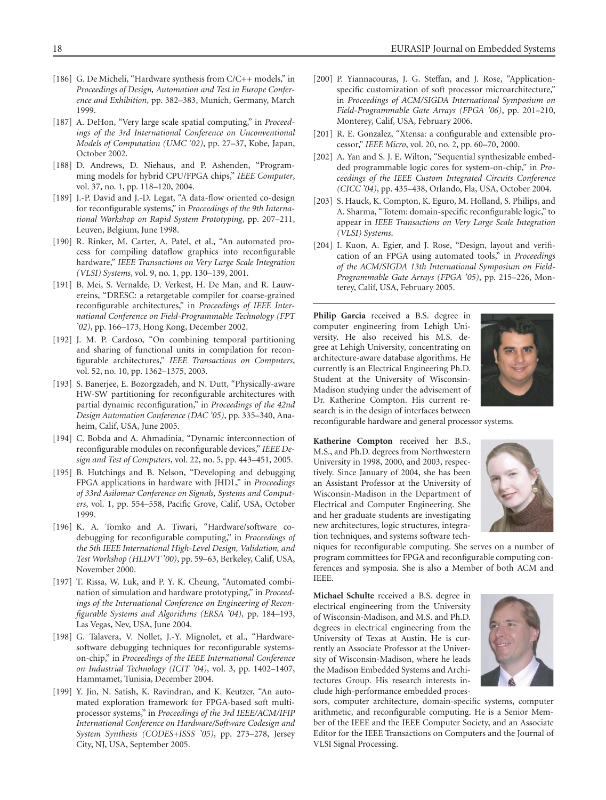- <span id="page-17-0"></span>[186] G. De Micheli, "Hardware synthesis from C/C++ models," in *Proceedings of Design, Automation and Test in Europe Conference and Exhibition*, pp. 382–383, Munich, Germany, March 1999.
- [187] A. DeHon, "Very large scale spatial computing," in *Proceedings of the 3rd International Conference on Unconventional Models of Computation (UMC '02)*, pp. 27–37, Kobe, Japan, October 2002.
- <span id="page-17-1"></span>[188] D. Andrews, D. Niehaus, and P. Ashenden, "Programming models for hybrid CPU/FPGA chips," *IEEE Computer*, vol. 37, no. 1, pp. 118–120, 2004.
- <span id="page-17-2"></span>[189] J.-P. David and J.-D. Legat, "A data-flow oriented co-design for reconfigurable systems," in *Proceedings of the 9th International Workshop on Rapid System Prototyping*, pp. 207–211, Leuven, Belgium, June 1998.
- [190] R. Rinker, M. Carter, A. Patel, et al., "An automated process for compiling dataflow graphics into reconfigurable hardware," *IEEE Transactions on Very Large Scale Integration (VLSI) Systems*, vol. 9, no. 1, pp. 130–139, 2001.
- <span id="page-17-3"></span>[191] B. Mei, S. Vernalde, D. Verkest, H. De Man, and R. Lauwereins, "DRESC: a retargetable compiler for coarse-grained reconfigurable architectures," in *Proceedings of IEEE International Conference on Field-Programmable Technology (FPT '02)*, pp. 166–173, Hong Kong, December 2002.
- <span id="page-17-4"></span>[192] J. M. P. Cardoso, "On combining temporal partitioning and sharing of functional units in compilation for reconfigurable architectures," *IEEE Transactions on Computers*, vol. 52, no. 10, pp. 1362–1375, 2003.
- <span id="page-17-5"></span>[193] S. Banerjee, E. Bozorgzadeh, and N. Dutt, "Physically-aware HW-SW partitioning for reconfigurable architectures with partial dynamic reconfiguration," in *Proceedings of the 42nd Design Automation Conference (DAC '05)*, pp. 335–340, Anaheim, Calif, USA, June 2005.
- <span id="page-17-6"></span>[194] C. Bobda and A. Ahmadinia, "Dynamic interconnection of reconfigurable modules on reconfigurable devices," *IEEE Design and Test of Computers*, vol. 22, no. 5, pp. 443–451, 2005.
- <span id="page-17-7"></span>[195] B. Hutchings and B. Nelson, "Developing and debugging FPGA applications in hardware with JHDL," in *Proceedings of 33rd Asilomar Conference on Signals, Systems and Computers*, vol. 1, pp. 554–558, Pacific Grove, Calif, USA, October 1999.
- [196] K. A. Tomko and A. Tiwari, "Hardware/software codebugging for reconfigurable computing," in *Proceedings of the 5th IEEE International High-Level Design, Validation, and Test Workshop (HLDVT '00)*, pp. 59–63, Berkeley, Calif, USA, November 2000.
- [197] T. Rissa, W. Luk, and P. Y. K. Cheung, "Automated combination of simulation and hardware prototyping," in *Proceedings of the International Conference on Engineering of Reconfigurable Systems and Algorithms (ERSA '04)*, pp. 184–193, Las Vegas, Nev, USA, June 2004.
- <span id="page-17-8"></span>[198] G. Talavera, V. Nollet, J.-Y. Mignolet, et al., "Hardwaresoftware debugging techniques for reconfigurable systemson-chip," in *Proceedings of the IEEE International Conference on Industrial Technology (ICIT '04)*, vol. 3, pp. 1402–1407, Hammamet, Tunisia, December 2004.
- <span id="page-17-9"></span>[199] Y. Jin, N. Satish, K. Ravindran, and K. Keutzer, "An automated exploration framework for FPGA-based soft multiprocessor systems," in *Proceedings of the 3rd IEEE/ACM/IFIP International Conference on Hardware/Software Codesign and System Synthesis (CODES+ISSS '05)*, pp. 273–278, Jersey City, NJ, USA, September 2005.
- <span id="page-17-10"></span>[200] P. Yiannacouras, J. G. Steffan, and J. Rose, "Applicationspecific customization of soft processor microarchitecture," in *Proceedings of ACM/SIGDA International Symposium on Field-Programmable Gate Arrays (FPGA '06)*, pp. 201–210, Monterey, Calif, USA, February 2006.
- <span id="page-17-11"></span>[201] R. E. Gonzalez, "Xtensa: a configurable and extensible processor," *IEEE Micro*, vol. 20, no. 2, pp. 60–70, 2000.
- <span id="page-17-12"></span>[202] A. Yan and S. J. E. Wilton, "Sequential synthesizable embedded programmable logic cores for system-on-chip," in *Proceedings of the IEEE Custom Integrated Circuits Conference (CICC '04)*, pp. 435–438, Orlando, Fla, USA, October 2004.
- <span id="page-17-14"></span>[203] S. Hauck, K. Compton, K. Eguro, M. Holland, S. Philips, and A. Sharma, "Totem: domain-specific reconfigurable logic," to appear in *IEEE Transactions on Very Large Scale Integration (VLSI) Systems*.
- <span id="page-17-13"></span>[204] I. Kuon, A. Egier, and J. Rose, "Design, layout and verification of an FPGA using automated tools," in *Proceedings of the ACM/SIGDA 13th International Symposium on Field-Programmable Gate Arrays (FPGA '05)*, pp. 215–226, Monterey, Calif, USA, February 2005.

**Philip Garcia** received a B.S. degree in computer engineering from Lehigh University. He also received his M.S. degree at Lehigh University, concentrating on architecture-aware database algorithms. He currently is an Electrical Engineering Ph.D. Student at the University of Wisconsin-Madison studying under the advisement of Dr. Katherine Compton. His current research is in the design of interfaces between



reconfigurable hardware and general processor systems.

**Katherine Compton** received her B.S., M.S., and Ph.D. degrees from Northwestern University in 1998, 2000, and 2003, respectively. Since January of 2004, she has been an Assistant Professor at the University of Wisconsin-Madison in the Department of Electrical and Computer Engineering. She and her graduate students are investigating new architectures, logic structures, integration techniques, and systems software tech-



niques for reconfigurable computing. She serves on a number of program committees for FPGA and reconfigurable computing conferences and symposia. She is also a Member of both ACM and IEEE.

**Michael Schulte** received a B.S. degree in electrical engineering from the University of Wisconsin-Madison, and M.S. and Ph.D. degrees in electrical engineering from the University of Texas at Austin. He is currently an Associate Professor at the University of Wisconsin-Madison, where he leads the Madison Embedded Systems and Architectures Group. His research interests include high-performance embedded proces-

sors, computer architecture, domain-specific systems, computer arithmetic, and reconfigurable computing. He is a Senior Member of the IEEE and the IEEE Computer Society, and an Associate Editor for the IEEE Transactions on Computers and the Journal of VLSI Signal Processing.